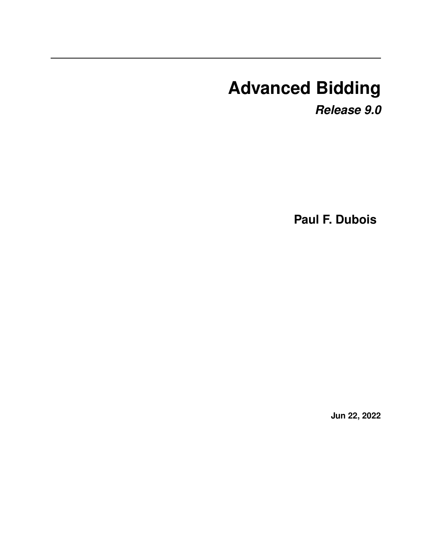# **Advanced Bidding**

*Release 9.0*

**Paul F. Dubois**

**Jun 22, 2022**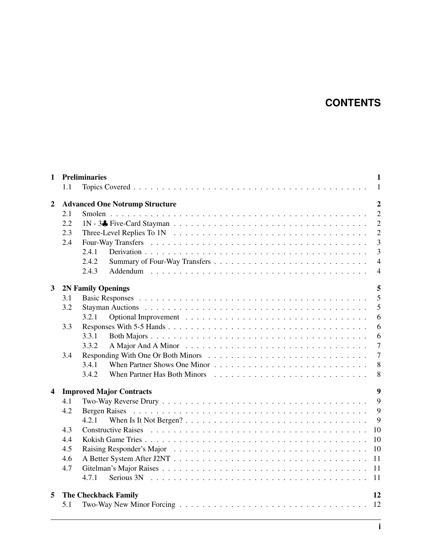## **CONTENTS**

| <b>Preliminaries</b><br>1<br>1<br>$\mathbf{1}$ |                                        |                                                                                                                                                        |  |  |  |  |
|------------------------------------------------|----------------------------------------|--------------------------------------------------------------------------------------------------------------------------------------------------------|--|--|--|--|
|                                                |                                        |                                                                                                                                                        |  |  |  |  |
|                                                |                                        | $\overline{2}$                                                                                                                                         |  |  |  |  |
|                                                |                                        | $\overline{2}$                                                                                                                                         |  |  |  |  |
|                                                |                                        | $\overline{2}$                                                                                                                                         |  |  |  |  |
|                                                |                                        | $\overline{2}$                                                                                                                                         |  |  |  |  |
| 2.4                                            |                                        | $\overline{3}$                                                                                                                                         |  |  |  |  |
|                                                |                                        | $\overline{3}$                                                                                                                                         |  |  |  |  |
|                                                |                                        | $\overline{4}$                                                                                                                                         |  |  |  |  |
|                                                | 2.4.3                                  | $\overline{4}$                                                                                                                                         |  |  |  |  |
|                                                |                                        | 5                                                                                                                                                      |  |  |  |  |
| 3.1                                            |                                        | 5                                                                                                                                                      |  |  |  |  |
| 3.2                                            |                                        | 5                                                                                                                                                      |  |  |  |  |
|                                                | 3.2.1                                  | 6                                                                                                                                                      |  |  |  |  |
| 3.3                                            |                                        | 6                                                                                                                                                      |  |  |  |  |
|                                                | 3.3.1                                  | 6                                                                                                                                                      |  |  |  |  |
|                                                | 3.3.2                                  | $\overline{7}$                                                                                                                                         |  |  |  |  |
| 3.4                                            |                                        | $\overline{7}$                                                                                                                                         |  |  |  |  |
|                                                | 3.4.1                                  | 8                                                                                                                                                      |  |  |  |  |
|                                                | 3.4.2                                  | 8                                                                                                                                                      |  |  |  |  |
| 4                                              |                                        |                                                                                                                                                        |  |  |  |  |
|                                                |                                        | 9<br>9                                                                                                                                                 |  |  |  |  |
|                                                |                                        |                                                                                                                                                        |  |  |  |  |
|                                                | 4.2.1                                  | 9                                                                                                                                                      |  |  |  |  |
| 4.3                                            |                                        | 10                                                                                                                                                     |  |  |  |  |
| 4.4                                            |                                        | 10                                                                                                                                                     |  |  |  |  |
| 4.5                                            |                                        | 10                                                                                                                                                     |  |  |  |  |
| 4.6                                            |                                        | 11                                                                                                                                                     |  |  |  |  |
| 4.7                                            |                                        | 11                                                                                                                                                     |  |  |  |  |
|                                                | 4.7.1                                  | 11                                                                                                                                                     |  |  |  |  |
|                                                |                                        | 12                                                                                                                                                     |  |  |  |  |
| 5.1                                            |                                        |                                                                                                                                                        |  |  |  |  |
|                                                | 1.1<br>2.1<br>2.2<br>2.3<br>4.1<br>4.2 | <b>Advanced One Notrump Structure</b><br>2.4.1<br>2.4.2<br><b>2N Family Openings</b><br><b>Improved Major Contracts</b><br><b>The Checkback Family</b> |  |  |  |  |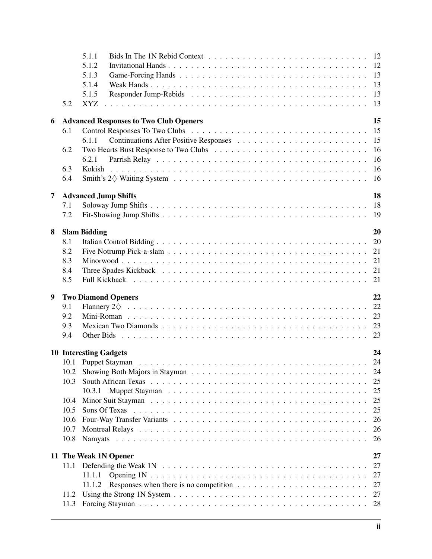|   |      | 5.1.1                                                                                                                                                                                                                                |
|---|------|--------------------------------------------------------------------------------------------------------------------------------------------------------------------------------------------------------------------------------------|
|   |      | 5.1.2                                                                                                                                                                                                                                |
|   |      | 13<br>5.1.3                                                                                                                                                                                                                          |
|   |      | 13<br>5.1.4                                                                                                                                                                                                                          |
|   |      | 5.1.5                                                                                                                                                                                                                                |
|   | 5.2  | <b>XYZ</b>                                                                                                                                                                                                                           |
|   |      |                                                                                                                                                                                                                                      |
| 6 |      | 15<br><b>Advanced Responses to Two Club Openers</b>                                                                                                                                                                                  |
|   | 6.1  | 15                                                                                                                                                                                                                                   |
|   |      | 15<br>6.1.1                                                                                                                                                                                                                          |
|   | 6.2  | 16                                                                                                                                                                                                                                   |
|   |      | 16<br>6.2.1                                                                                                                                                                                                                          |
|   | 6.3  | 16                                                                                                                                                                                                                                   |
|   | 6.4  | 16                                                                                                                                                                                                                                   |
| 7 |      | 18<br><b>Advanced Jump Shifts</b>                                                                                                                                                                                                    |
|   | 7.1  | 18                                                                                                                                                                                                                                   |
|   | 7.2  |                                                                                                                                                                                                                                      |
|   |      |                                                                                                                                                                                                                                      |
| 8 |      | 20<br><b>Slam Bidding</b>                                                                                                                                                                                                            |
|   | 8.1  | 20                                                                                                                                                                                                                                   |
|   | 8.2  | 21                                                                                                                                                                                                                                   |
|   | 8.3  | 21                                                                                                                                                                                                                                   |
|   | 8.4  |                                                                                                                                                                                                                                      |
|   | 8.5  |                                                                                                                                                                                                                                      |
| 9 |      | 22<br><b>Two Diamond Openers</b>                                                                                                                                                                                                     |
|   | 9.1  | 22                                                                                                                                                                                                                                   |
|   | 9.2  | 23                                                                                                                                                                                                                                   |
|   | 9.3  |                                                                                                                                                                                                                                      |
|   | 9.4  |                                                                                                                                                                                                                                      |
|   |      |                                                                                                                                                                                                                                      |
|   |      | 24<br><b>10 Interesting Gadgets</b>                                                                                                                                                                                                  |
|   |      |                                                                                                                                                                                                                                      |
|   | 10.2 | 24                                                                                                                                                                                                                                   |
|   | 10.3 | 25                                                                                                                                                                                                                                   |
|   |      | 25<br>10.3.1                                                                                                                                                                                                                         |
|   | 10.4 | 25                                                                                                                                                                                                                                   |
|   | 10.5 | 25<br>Sons Of Texas reconomientos in the contract of the contract of the contract of the contract of the contract of the contract of the contract of the contract of the contract of the contract of the contract of the contract of |
|   | 10.6 | 26                                                                                                                                                                                                                                   |
|   | 10.7 | 26                                                                                                                                                                                                                                   |
|   | 10.8 | 26                                                                                                                                                                                                                                   |
|   |      |                                                                                                                                                                                                                                      |
|   |      | 27<br>11 The Weak 1N Opener                                                                                                                                                                                                          |
|   | 11.1 | 27                                                                                                                                                                                                                                   |
|   |      | 27<br>11.1.1                                                                                                                                                                                                                         |
|   |      | 27<br>11.1.2                                                                                                                                                                                                                         |
|   | 11.2 | 27                                                                                                                                                                                                                                   |
|   | 11.3 | 28                                                                                                                                                                                                                                   |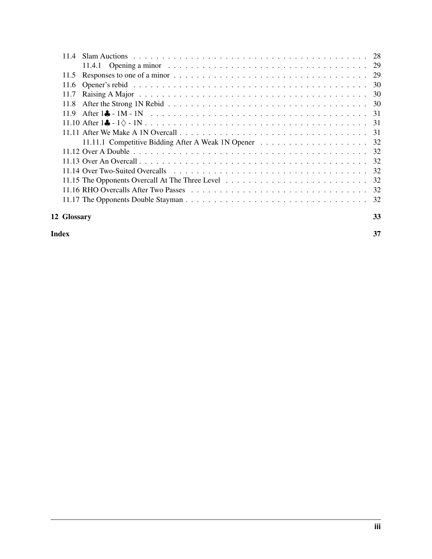| 12 Glossary                                                                                                                    | 33 |
|--------------------------------------------------------------------------------------------------------------------------------|----|
|                                                                                                                                |    |
|                                                                                                                                |    |
|                                                                                                                                |    |
|                                                                                                                                |    |
|                                                                                                                                |    |
|                                                                                                                                |    |
|                                                                                                                                |    |
| 11.11 After We Make A 1N Overcall $\ldots \ldots \ldots \ldots \ldots \ldots \ldots \ldots \ldots \ldots \ldots \ldots \ldots$ |    |
|                                                                                                                                |    |
| 11.9                                                                                                                           |    |
| 11.8                                                                                                                           |    |
|                                                                                                                                |    |
|                                                                                                                                |    |
|                                                                                                                                |    |
|                                                                                                                                |    |
|                                                                                                                                |    |
|                                                                                                                                |    |

#### **[Index](#page-40-0)** 37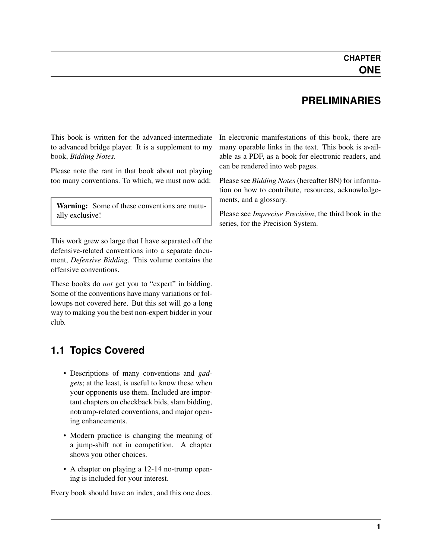#### **PRELIMINARIES**

<span id="page-4-0"></span>This book is written for the advanced-intermediate to advanced bridge player. It is a supplement to my book, *Bidding Notes*.

Please note the rant in that book about not playing too many conventions. To which, we must now add:

Warning: Some of these conventions are mutually exclusive!

This work grew so large that I have separated off the defensive-related conventions into a separate document, *Defensive Bidding*. This volume contains the offensive conventions.

These books do *not* get you to "expert" in bidding. Some of the conventions have many variations or followups not covered here. But this set will go a long way to making you the best non-expert bidder in your club.

#### <span id="page-4-1"></span>**1.1 Topics Covered**

- Descriptions of many conventions and *[gad](#page-37-0)[gets](#page-37-0)*; at the least, is useful to know these when your opponents use them. Included are important chapters on checkback bids, slam bidding, notrump-related conventions, and major opening enhancements.
- Modern practice is changing the meaning of a jump-shift not in competition. A chapter shows you other choices.
- A chapter on playing a 12-14 no-trump opening is included for your interest.

Every book should have an index, and this one does.

In electronic manifestations of this book, there are many operable links in the text. This book is available as a PDF, as a book for electronic readers, and can be rendered into web pages.

Please see *Bidding Notes* (hereafter BN) for information on how to contribute, resources, acknowledgements, and a glossary.

Please see *Imprecise Precision*, the third book in the series, for the Precision System.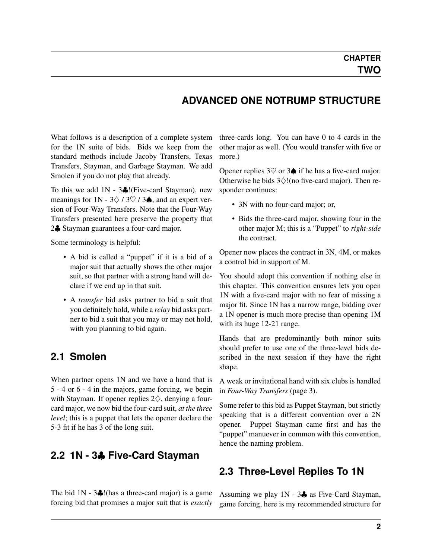#### **ADVANCED ONE NOTRUMP STRUCTURE**

<span id="page-5-5"></span><span id="page-5-0"></span>What follows is a description of a complete system for the 1N suite of bids. Bids we keep from the standard methods include Jacoby Transfers, Texas Transfers, Stayman, and Garbage Stayman. We add Smolen if you do not play that already.

To this we add 1N - 3♣!(Five-card Stayman), new meanings for 1N -  $3\diamondsuit / 3\heartsuit / 3\spadesuit$ , and an expert version of Four-Way Transfers. Note that the Four-Way Transfers presented here preserve the property that 2♣ Stayman guarantees a four-card major.

Some terminology is helpful:

- A bid is called a "puppet" if it is a bid of a major suit that actually shows the other major suit, so that partner with a strong hand will declare if we end up in that suit.
- A *[transfer](#page-38-0)* bid asks partner to bid a suit that you definitely hold, while a *[relay](#page-38-1)* bid asks partner to bid a suit that you may or may not hold, with you planning to bid again.

#### <span id="page-5-1"></span>**2.1 Smolen**

<span id="page-5-4"></span>When partner opens 1N and we have a hand that is 5 - 4 or 6 - 4 in the majors, game forcing, we begin with Stayman. If opener replies  $2\diamondsuit$ , denying a fourcard major, we now bid the four-card suit, *at the three level*; this is a puppet that lets the opener declare the 5-3 fit if he has 3 of the long suit.

#### <span id="page-5-2"></span>**2.2 1N - 3**♣ **Five-Card Stayman**

The bid  $1N - 3$ . (thas a three-card major) is a game forcing bid that promises a major suit that is *exactly* three-cards long. You can have 0 to 4 cards in the other major as well. (You would transfer with five or more.)

Opener replies  $3\heartsuit$  or  $3\spadesuit$  if he has a five-card major. Otherwise he bids  $3\diamondsuit!$  (no five-card major). Then responder continues:

- 3N with no four-card major; or,
- Bids the three-card major, showing four in the other major M; this is a "Puppet" to *[right-side](#page-38-2)* the contract.

Opener now places the contract in 3N, 4M, or makes a control bid in support of M.

You should adopt this convention if nothing else in this chapter. This convention ensures lets you open 1N with a five-card major with no fear of missing a major fit. Since 1N has a narrow range, bidding over a 1N opener is much more precise than opening 1M with its huge 12-21 range.

Hands that are predominantly both minor suits should prefer to use one of the three-level bids described in the next session if they have the right shape.

A weak or invitational hand with six clubs is handled in *[Four-Way Transfers](#page-6-2)* (page 3).

Some refer to this bid as Puppet Stayman, but strictly speaking that is a different convention over a 2N opener. Puppet Stayman came first and has the "puppet" manuever in common with this convention, hence the naming problem.

#### <span id="page-5-3"></span>**2.3 Three-Level Replies To 1N**

Assuming we play 1N - 3♣ as Five-Card Stayman, game forcing, here is my recommended structure for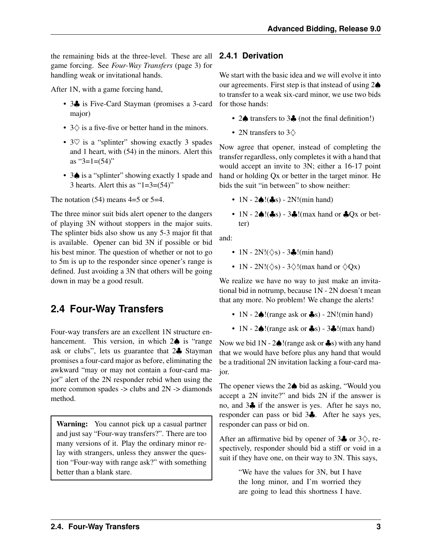<span id="page-6-3"></span>the remaining bids at the three-level. These are all **2.4.1 Derivation** game forcing. See *[Four-Way Transfers](#page-6-2)* (page 3) for handling weak or invitational hands.

After 1N, with a game forcing hand,

- 3. is Five-Card Stayman (promises a 3-card major)
- $3\diamondsuit$  is a five-five or better hand in the minors.
- $3\heartsuit$  is a "splinter" showing exactly 3 spades and 1 heart, with (54) in the minors. Alert this as " $3=1=(54)$ "
- 3♠ is a "splinter" showing exactly 1 spade and 3 hearts. Alert this as " $1=3=(54)$ "

The notation  $(54)$  means  $4=5$  or  $5=4$ .

The three minor suit bids alert opener to the dangers of playing 3N without stoppers in the major suits. The splinter bids also show us any 5-3 major fit that is available. Opener can bid 3N if possible or bid his best minor. The question of whether or not to go to 5m is up to the responder since opener's range is defined. Just avoiding a 3N that others will be going down in may be a good result.

#### <span id="page-6-0"></span>**2.4 Four-Way Transfers**

<span id="page-6-2"></span>Four-way transfers are an excellent 1N structure enhancement. This version, in which 2♠ is "range ask or clubs", lets us guarantee that 2♣ Stayman promises a four-card major as before, eliminating the awkward "may or may not contain a four-card major" alert of the 2N responder rebid when using the more common spades -> clubs and 2N -> diamonds method.

Warning: You cannot pick up a casual partner and just say "Four-way transfers?". There are too many versions of it. Play the ordinary minor relay with strangers, unless they answer the question "Four-way with range ask?" with something better than a blank stare.

<span id="page-6-1"></span>We start with the basic idea and we will evolve it into our agreements. First step is that instead of using 2♠ to transfer to a weak six-card minor, we use two bids for those hands:

- 2♠ transfers to 3♣ (not the final definition!)
- 2N transfers to 3  $\diamond$

Now agree that opener, instead of completing the transfer regardless, only completes it with a hand that would accept an invite to 3N; either a 16-17 point hand or holding Qx or better in the target minor. He bids the suit "in between" to show neither:

- $1N 2\spadesuit$ ! $\clubsuit$ s)  $2N!$ (min hand)
- $1N 2\spadesuit!$   $(*s) 3\clubsuit!$  (max hand or  $*\sf Qx$  or better)

and:

- $1N 2N! (\diamondsuit s) 3$ . (min hand)
- 1N 2N!( $\diamondsuit$ s) 3 $\diamondsuit$ !(max hand or  $\diamondsuit$ Ox)

We realize we have no way to just make an invitational bid in notrump, because 1N - 2N doesn't mean that any more. No problem! We change the alerts!

- 1N  $2\spadesuit$ !(range ask or  $\clubsuit$ s)  $2N!$ (min hand)
- 1N  $2\spadesuit$ !(range ask or  $\clubsuit$ s)  $3\clubsuit$ !(max hand)

Now we bid  $1N - 2 \spadesuit!$  (range ask or  $\clubsuit$ s) with any hand that we would have before plus any hand that would be a traditional 2N invitation lacking a four-card major.

The opener views the 2♠ bid as asking, "Would you accept a 2N invite?" and bids 2N if the answer is no, and 3♣ if the answer is yes. After he says no, responder can pass or bid 3♣. After he says yes, responder can pass or bid on.

After an affirmative bid by opener of  $3\clubsuit$  or  $3\diamondsuit$ , respectively, responder should bid a stiff or void in a suit if they have one, on their way to 3N. This says,

> "We have the values for 3N, but I have the long minor, and I'm worried they are going to lead this shortness I have.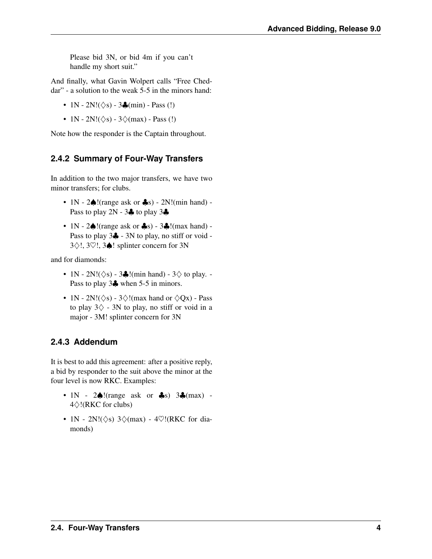<span id="page-7-2"></span>Please bid 3N, or bid 4m if you can't handle my short suit."

And finally, what Gavin Wolpert calls "Free Cheddar" - a solution to the weak 5-5 in the minors hand:

- 1N 2N! $(\diamondsuit s)$  3 $\clubsuit$ (min) Pass (!)
- 1N 2N!( $\diamondsuit$ s) 3 $\diamondsuit$ (max) Pass (!)

Note how the responder is the Captain throughout.

#### <span id="page-7-0"></span>**2.4.2 Summary of Four-Way Transfers**

In addition to the two major transfers, we have two minor transfers; for clubs.

- 1N  $2\spadesuit$ !(range ask or  $\clubsuit$ s)  $2N!$ (min hand) -Pass to play  $2N - 3$  to play  $3\clubsuit$
- 1N  $2\spadesuit$ !(range ask or  $\clubsuit$ s)  $3\clubsuit$ !(max hand) -Pass to play 3♣ - 3N to play, no stiff or void - 3♢!, 3♡!, 3♠! splinter concern for 3N

and for diamonds:

- 1N 2N! $(\diamondsuit s)$  3 $\clubsuit$ !(min hand) 3 $\diamondsuit$  to play. -Pass to play 3♣ when 5-5 in minors.
- 1N 2N!( $\diamondsuit$ s) 3 $\diamondsuit$ !(max hand or  $\diamondsuit Qx$ ) Pass to play  $3\diamondsuit$  - 3N to play, no stiff or void in a major - 3M! splinter concern for 3N

#### <span id="page-7-1"></span>**2.4.3 Addendum**

It is best to add this agreement: after a positive reply, a bid by responder to the suit above the minor at the four level is now RKC. Examples:

- $1N 2 \spadesuit!$  (range ask or  $\clubsuit$ s)  $3 \clubsuit$  (max) -4♢!(RKC for clubs)
- 1N 2N! $(\diamondsuit s)$  3 $\diamondsuit$ (max) 4 $\heartsuit$ !(RKC for diamonds)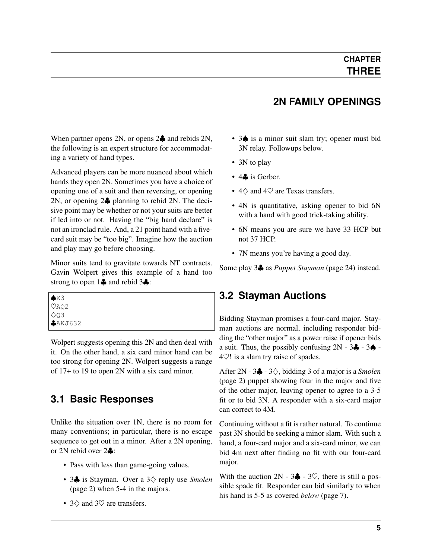#### <span id="page-8-0"></span>When partner opens 2N, or opens 2♣ and rebids 2N, the following is an expert structure for accommodating a variety of hand types.

Advanced players can be more nuanced about which hands they open 2N. Sometimes you have a choice of opening one of a suit and then reversing, or opening 2N, or opening 2♣ planning to rebid 2N. The decisive point may be whether or not your suits are better if led into or not. Having the "big hand declare" is not an ironclad rule. And, a 21 point hand with a fivecard suit may be "too big". Imagine how the auction and play may go before choosing.

Minor suits tend to gravitate towards NT contracts. Gavin Wolpert gives this example of a hand too strong to open 1♣ and rebid 3♣:

| $K3$<br>$\heartsuit$ AQ2 |  |
|--------------------------|--|
| $\lozenge$ Q3            |  |
| $A$ AKJ632               |  |

Wolpert suggests opening this 2N and then deal with it. On the other hand, a six card minor hand can be too strong for opening 2N. Wolpert suggests a range of 17+ to 19 to open 2N with a six card minor.

## <span id="page-8-1"></span>**3.1 Basic Responses**

Unlike the situation over 1N, there is no room for many conventions; in particular, there is no escape sequence to get out in a minor. After a 2N opening, or 2N rebid over 2♣:

- Pass with less than game-going values.
- 3♣ is Stayman. Over a 3♢ reply use *[Smolen](#page-5-4)* (page 2) when 5-4 in the majors.
- $3\diamondsuit$  and  $3\heartsuit$  are transfers.

## **2N FAMILY OPENINGS**

- 3♦ is a minor suit slam try; opener must bid 3N relay. Followups below.
- 3N to play
- 4**.** is Gerber.
- 4♢ and 4♡ are Texas transfers.
- 4N is quantitative, asking opener to bid 6N with a hand with good trick-taking ability.
- 6N means you are sure we have 33 HCP but not 37 HCP.
- 7N means you're having a good day.

Some play 3♣ as *[Puppet Stayman](#page-27-3)* (page 24) instead.

#### <span id="page-8-2"></span>**3.2 Stayman Auctions**

Bidding Stayman promises a four-card major. Stayman auctions are normal, including responder bidding the "other major" as a power raise if opener bids a suit. Thus, the possibly confusing  $2N - 3\clubsuit - 3\spadesuit -$ 4♡! is a slam try raise of spades.

After 2N - 3♣ - 3♢, bidding 3 of a major is a *[Smolen](#page-5-4)* (page 2) puppet showing four in the major and five of the other major, leaving opener to agree to a 3-5 fit or to bid 3N. A responder with a six-card major can correct to 4M.

Continuing without a fit is rather natural. To continue past 3N should be seeking a minor slam. With such a hand, a four-card major and a six-card minor, we can bid 4m next after finding no fit with our four-card major.

With the auction  $2N - 3\clubsuit - 3\heartsuit$ , there is still a possible spade fit. Responder can bid similarly to when his hand is 5-5 as covered *[below](#page-10-2)* (page 7).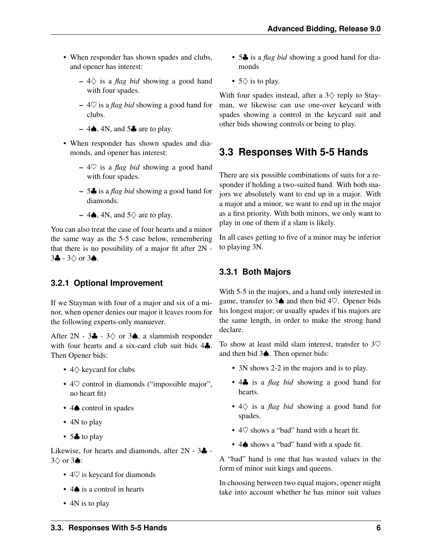- When responder has shown spades and clubs, and opener has interest:
	- 4♢ is a *[flag bid](#page-36-1)* showing a good hand with four spades.
	- 4♡ is a *[flag bid](#page-36-1)* showing a good hand for clubs.
	- 4 $\spadesuit$ , 4N, and 5 $\clubsuit$  are to play.
- When responder has shown spades and diamonds, and opener has interest:
	- 4♡ is a *[flag bid](#page-36-1)* showing a good hand with four spades.
	- 5♣ is a *[flag bid](#page-36-1)* showing a good hand for diamonds.
	- 4**♦**, 4N, and  $5\diamondsuit$  are to play.

You can also treat the case of four hearts and a minor the same way as the 5-5 case below, remembering that there is no possibility of a major fit after 2N -  $3\clubsuit$  -  $3\diamondsuit$  or  $3\spadesuit$ .

#### <span id="page-9-0"></span>**3.2.1 Optional Improvement**

If we Stayman with four of a major and six of a minor, when opener denies our major it leaves room for the following experts-only manuever.

After 2N - 3 $\clubsuit$  - 3 $\diamond$  or 3 $\spadesuit$ , a slammish responder with four hearts and a six-card club suit bids  $4\clubsuit$ . Then Opener bids:

- 4♢ keycard for clubs
- 4 $\heartsuit$  control in diamonds ("impossible major", no heart fit)
- 4♠ control in spades
- 4N to play
- 5. to play

Likewise, for hearts and diamonds, after  $2N - 3$ . 3♢ or 3♠:

- $4\heartsuit$  is keycard for diamonds
- 4♠ is a control in hearts
- 4N is to play
- 5♣ is a *[flag bid](#page-36-1)* showing a good hand for diamonds
- $5\diamond$  is to play.

With four spades instead, after a  $3\diamondsuit$  reply to Stayman, we likewise can use one-over keycard with spades showing a control in the keycard suit and other bids showing controls or being to play.

## <span id="page-9-1"></span>**3.3 Responses With 5-5 Hands**

There are six possible combinations of suits for a responder if holding a two-suited hand. With both majors we absolutely want to end up in a major. With a major and a minor, we want to end up in the major as a first priority. With both minors, we only want to play in one of them if a slam is likely.

In all cases getting to five of a minor may be inferior to playing 3N.

#### <span id="page-9-2"></span>**3.3.1 Both Majors**

With 5-5 in the majors, and a hand only interested in game, transfer to 3 $\spadesuit$  and then bid 4 $\heartsuit$ . Opener bids his longest major; or usually spades if his majors are the same length, in order to make the strong hand declare.

To show at least mild slam interest, transfer to  $3\heartsuit$ and then bid 3♠. Then opener bids:

- 3N shows 2-2 in the majors and is to play.
- 4♣ is a *[flag bid](#page-36-1)* showing a good hand for hearts.
- 4♢ is a *[flag bid](#page-36-1)* showing a good hand for spades.
- 4 $\heartsuit$  shows a "bad" hand with a heart fit.
- 4♠ shows a "bad" hand with a spade fit.

A "bad" hand is one that has wasted values in the form of minor suit kings and queens.

In choosing between two equal majors, opener might take into account whether he has minor suit values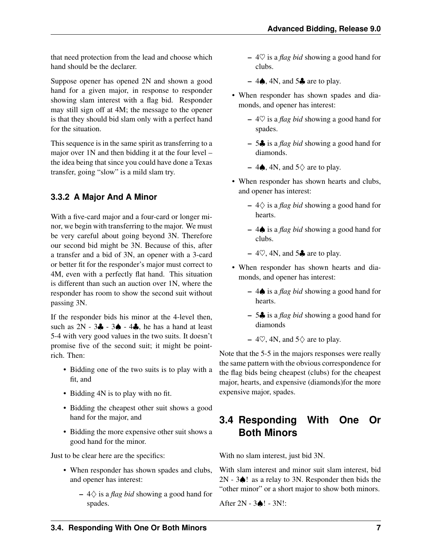that need protection from the lead and choose which hand should be the declarer.

Suppose opener has opened 2N and shown a good hand for a given major, in response to responder showing slam interest with a flag bid. Responder may still sign off at 4M; the message to the opener is that they should bid slam only with a perfect hand for the situation.

This sequence is in the same spirit as transferring to a major over 1N and then bidding it at the four level – the idea being that since you could have done a Texas transfer, going "slow" is a mild slam try.

#### <span id="page-10-0"></span>**3.3.2 A Major And A Minor**

<span id="page-10-2"></span>With a five-card major and a four-card or longer minor, we begin with transferring to the major. We must be very careful about going beyond 3N. Therefore our second bid might be 3N. Because of this, after a transfer and a bid of 3N, an opener with a 3-card or better fit for the responder's major must correct to 4M, even with a perfectly flat hand. This situation is different than such an auction over 1N, where the responder has room to show the second suit without passing 3N.

If the responder bids his minor at the 4-level then, such as  $2N - 3\clubsuit - 3\spadesuit - 4\clubsuit$ , he has a hand at least 5-4 with very good values in the two suits. It doesn't promise five of the second suit; it might be pointrich. Then:

- Bidding one of the two suits is to play with a fit, and
- Bidding 4N is to play with no fit.
- Bidding the cheapest other suit shows a good hand for the major, and
- Bidding the more expensive other suit shows a good hand for the minor.

Just to be clear here are the specifics:

- When responder has shown spades and clubs, and opener has interest:
	- 4♢ is a *[flag bid](#page-36-1)* showing a good hand for spades.
- 4♡ is a *[flag bid](#page-36-1)* showing a good hand for clubs.
- 4 $\spadesuit$ , 4N, and 5 $\clubsuit$  are to play.
- When responder has shown spades and diamonds, and opener has interest:
	- 4♡ is a *[flag bid](#page-36-1)* showing a good hand for spades.
	- 5♣ is a *[flag bid](#page-36-1)* showing a good hand for diamonds.
	- 4 $\spadesuit$ , 4N, and 5 $\diamondsuit$  are to play.
- When responder has shown hearts and clubs, and opener has interest:
	- 4♢ is a *[flag bid](#page-36-1)* showing a good hand for hearts.
	- 4♠ is a *[flag bid](#page-36-1)* showing a good hand for clubs.
	- $-4\degree$ , 4N, and 5 $\clubsuit$  are to play.
- When responder has shown hearts and diamonds, and opener has interest:
	- 4♠ is a *[flag bid](#page-36-1)* showing a good hand for hearts.
	- 5♣ is a *[flag bid](#page-36-1)* showing a good hand for diamonds
	- 4 $\heartsuit$ , 4N, and 5 $\diamondsuit$  are to play.

Note that the 5-5 in the majors responses were really the same pattern with the obvious correspondence for the flag bids being cheapest (clubs) for the cheapest major, hearts, and expensive (diamonds)for the more expensive major, spades.

## <span id="page-10-1"></span>**3.4 Responding With One Or Both Minors**

With no slam interest, just bid 3N.

With slam interest and minor suit slam interest, bid 2N - 3♠! as a relay to 3N. Responder then bids the "other minor" or a short major to show both minors.

After 2N - 3♠! - 3N!: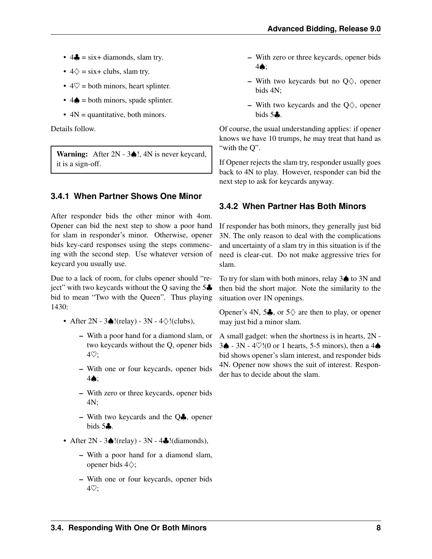- $4\clubsuit = \text{s}ix + \text{diamond}, \text{slam try}.$
- $4\diamondsuit = \text{s}ix + \text{clubs}$ , slam try.
- $4\heartsuit =$  both minors, heart splinter.
- $4\spadesuit$  = both minors, spade splinter.
- $\bullet$  4N = quantitative, both minors.

Details follow.

Warning: After 2N - 3♠!, 4N is never keycard, it is a sign-off.

#### <span id="page-11-0"></span>**3.4.1 When Partner Shows One Minor**

After responder bids the other minor with 4om. Opener can bid the next step to show a poor hand for slam in responder's minor. Otherwise, opener bids key-card responses using the steps commencing with the second step. Use whatever version of keycard you usually use.

Due to a lack of room, for clubs opener should "reject" with two keycards without the O saving the  $5\clubsuit$ bid to mean "Two with the Queen". Thus playing 1430:

- After  $2N 3$  $(l$ (relay)  $3N 4 \diamond l$ (clubs),
	- With a poor hand for a diamond slam, or two keycards without the Q, opener bids 4♡;
	- With one or four keycards, opener bids 4♠;
	- With zero or three keycards, opener bids 4N;
	- With two keycards and the  $Q\clubsuit$ , opener bids  $5\clubsuit$ .
- After  $2N 3$  (relay)  $3N 4$  (diamonds),
	- With a poor hand for a diamond slam, opener bids 4♢;
	- With one or four keycards, opener bids 4♡;
- With zero or three keycards, opener bids 4♠;
- With two keycards but no  $Q\diamondsuit$ , opener bids 4N;
- With two keycards and the  $Q\diamondsuit$ , opener bids  $5\clubsuit$ .

Of course, the usual understanding applies: if opener knows we have 10 trumps, he may treat that hand as "with the Q".

If Opener rejects the slam try, responder usually goes back to 4N to play. However, responder can bid the next step to ask for keycards anyway.

#### <span id="page-11-1"></span>**3.4.2 When Partner Has Both Minors**

If responder has both minors, they generally just bid 3N. The only reason to deal with the complications and uncertainty of a slam try in this situation is if the need is clear-cut. Do not make aggressive tries for slam.

To try for slam with both minors, relay 3♠ to 3N and then bid the short major. Note the similarity to the situation over 1N openings.

Opener's 4N, 5 $\clubsuit$ , or 5 $\diamondsuit$  are then to play, or opener may just bid a minor slam.

A small gadget: when the shortness is in hearts, 2N - 3♠ - 3N - 4♡!(0 or 1 hearts, 5-5 minors), then a 4♠ bid shows opener's slam interest, and responder bids 4N. Opener now shows the suit of interest. Responder has to decide about the slam.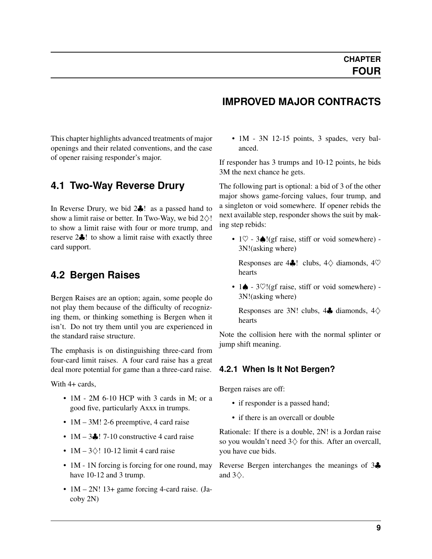<span id="page-12-4"></span><span id="page-12-0"></span>This chapter highlights advanced treatments of major openings and their related conventions, and the case of opener raising responder's major.

#### <span id="page-12-1"></span>**4.1 Two-Way Reverse Drury**

In Reverse Drury, we bid 2♣! as a passed hand to show a limit raise or better. In Two-Way, we bid  $2\diamondsuit!$ to show a limit raise with four or more trump, and reserve 2♣! to show a limit raise with exactly three card support.

#### <span id="page-12-2"></span>**4.2 Bergen Raises**

Bergen Raises are an option; again, some people do not play them because of the difficulty of recognizing them, or thinking something is Bergen when it isn't. Do not try them until you are experienced in the standard raise structure.

The emphasis is on distinguishing three-card from four-card limit raises. A four card raise has a great deal more potential for game than a three-card raise.

With 4+ cards.

- 1M 2M 6-10 HCP with 3 cards in M; or a good five, particularly Axxx in trumps.
- 1M 3M! 2-6 preemptive, 4 card raise
- $1M 3$ . 7-10 constructive 4 card raise
- 1M  $3\diamond$ ! 10-12 limit 4 card raise
- 1M 1N forcing is forcing for one round, may have 10-12 and 3 trump.
- 1M 2N! 13+ game forcing 4-card raise. (Jacoby 2N)

#### **IMPROVED MAJOR CONTRACTS**

• 1M - 3N 12-15 points, 3 spades, very balanced.

If responder has 3 trumps and 10-12 points, he bids 3M the next chance he gets.

The following part is optional: a bid of 3 of the other major shows game-forcing values, four trump, and a singleton or void somewhere. If opener rebids the next available step, responder shows the suit by making step rebids:

•  $1\heartsuit$  - 3 $\triangle$ !(gf raise, stiff or void somewhere) -3N!(asking where)

Responses are 4 $\clubsuit$ ! clubs,  $4\diamondsuit$  diamonds,  $4\heartsuit$ hearts

• 1♠ - 3♡!(gf raise, stiff or void somewhere) - 3N!(asking where)

Responses are 3N! clubs,  $4\clubsuit$  diamonds,  $4\diamondsuit$ hearts

Note the collision here with the normal splinter or jump shift meaning.

#### <span id="page-12-3"></span>**4.2.1 When Is It Not Bergen?**

Bergen raises are off:

- if responder is a passed hand;
- if there is an overcall or double

Rationale: If there is a double, 2N! is a Jordan raise so you wouldn't need  $3\diamondsuit$  for this. After an overcall, you have cue bids.

Reverse Bergen interchanges the meanings of 3♣ and  $3\diamondsuit$ .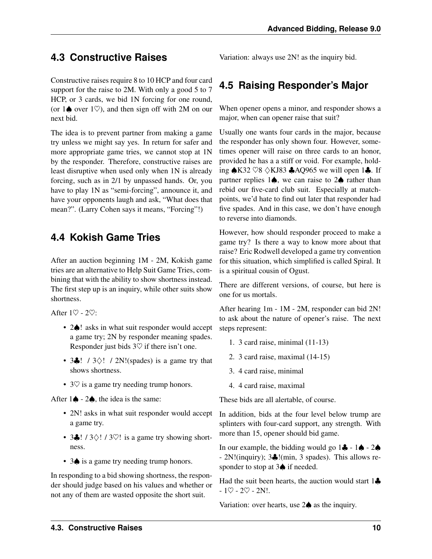## <span id="page-13-3"></span><span id="page-13-0"></span>**4.3 Constructive Raises**

Constructive raises require 8 to 10 HCP and four card support for the raise to 2M. With only a good 5 to 7 HCP, or 3 cards, we bid 1N forcing for one round, (or  $1\spadesuit$  over  $1\heartsuit$ ), and then sign off with 2M on our next bid.

The idea is to prevent partner from making a game try unless we might say yes. In return for safer and more appropriate game tries, we cannot stop at 1N by the responder. Therefore, constructive raises are least disruptive when used only when 1N is already forcing, such as in 2/1 by unpassed hands. Or, you have to play 1N as "semi-forcing", announce it, and have your opponents laugh and ask, "What does that mean?". (Larry Cohen says it means, "Forcing"!)

#### <span id="page-13-1"></span>**4.4 Kokish Game Tries**

After an auction beginning 1M - 2M, Kokish game tries are an alternative to Help Suit Game Tries, combining that with the ability to show shortness instead. The first step up is an inquiry, while other suits show shortness.

After  $1\heartsuit$  -  $2\heartsuit$ :

- 2 $\triangle$ ! asks in what suit responder would accept a game try; 2N by responder meaning spades. Responder just bids  $3\heartsuit$  if there isn't one.
- 3 $\clubsuit$ ! / 3 $\diamond$ ! / 2N!(spades) is a game try that shows shortness.
- 3 $\heartsuit$  is a game try needing trump honors.

After  $1\spadesuit$  -  $2\spadesuit$ , the idea is the same:

- 2N! asks in what suit responder would accept a game try.
- 3 $\clubsuit$ ! / 3 $\diamond$ ! / 3 $\heartsuit$ ! is a game try showing shortness.
- 3 $\spadesuit$  is a game try needing trump honors.

In responding to a bid showing shortness, the responder should judge based on his values and whether or not any of them are wasted opposite the short suit.

Variation: always use 2N! as the inquiry bid.

## <span id="page-13-2"></span>**4.5 Raising Responder's Major**

When opener opens a minor, and responder shows a major, when can opener raise that suit?

Usually one wants four cards in the major, because the responder has only shown four. However, sometimes opener will raise on three cards to an honor, provided he has a a stiff or void. For example, holding ♠K32 ♡8 ♢KJ83 ♣AQ965 we will open 1♣. If partner replies 1♠, we can raise to 2♠ rather than rebid our five-card club suit. Especially at matchpoints, we'd hate to find out later that responder had five spades. And in this case, we don't have enough to reverse into diamonds.

However, how should responder proceed to make a game try? Is there a way to know more about that raise? Eric Rodwell developed a game try convention for this situation, which simplified is called Spiral. It is a spiritual cousin of Ogust.

There are different versions, of course, but here is one for us mortals.

After hearing 1m - 1M - 2M, responder can bid 2N! to ask about the nature of opener's raise. The next steps represent:

- 1. 3 card raise, minimal (11-13)
- 2. 3 card raise, maximal (14-15)
- 3. 4 card raise, minimal
- 4. 4 card raise, maximal

These bids are all alertable, of course.

In addition, bids at the four level below trump are splinters with four-card support, any strength. With more than 15, opener should bid game.

In our example, the bidding would go  $1\clubsuit - 1\spadesuit - 2\spadesuit$ - 2N!(inquiry); 3♣!(min, 3 spades). This allows responder to stop at 3♠ if needed.

Had the suit been hearts, the auction would start  $1\clubsuit$  $-1$  $0 - 20 - 2N!$ .

Variation: over hearts, use 2♠ as the inquiry.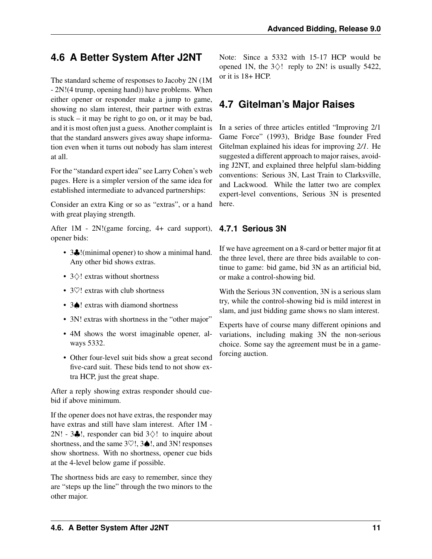## <span id="page-14-3"></span><span id="page-14-0"></span>**4.6 A Better System After J2NT**

The standard scheme of responses to Jacoby 2N (1M - 2N!(4 trump, opening hand)) have problems. When either opener or responder make a jump to game, showing no slam interest, their partner with extras is stuck – it may be right to go on, or it may be bad, and it is most often just a guess. Another complaint is that the standard answers gives away shape information even when it turns out nobody has slam interest at all.

For the "standard expert idea" see Larry Cohen's web pages. Here is a simpler version of the same idea for established intermediate to advanced partnerships:

Consider an extra King or so as "extras", or a hand with great playing strength.

After 1M - 2N!(game forcing, 4+ card support), **4.7.1 Serious 3N** opener bids:

- 3. I(minimal opener) to show a minimal hand. Any other bid shows extras.
- 3♢! extras without shortness
- 30! extras with club shortness
- 3♠! extras with diamond shortness
- 3N! extras with shortness in the "other major"
- 4M shows the worst imaginable opener, always 5332.
- Other four-level suit bids show a great second five-card suit. These bids tend to not show extra HCP, just the great shape.

After a reply showing extras responder should cuebid if above minimum.

If the opener does not have extras, the responder may have extras and still have slam interest. After 1M - 2N! - 3 $\clubsuit$ !, responder can bid 3 $\diamondsuit$ ! to inquire about shortness, and the same  $3\degree$ !,  $3\spadesuit$ !, and  $3N!$  responses show shortness. With no shortness, opener cue bids at the 4-level below game if possible.

The shortness bids are easy to remember, since they are "steps up the line" through the two minors to the other major.

Note: Since a 5332 with 15-17 HCP would be opened 1N, the  $3\diamondsuit!$  reply to 2N! is usually 5422, or it is 18+ HCP.

## <span id="page-14-1"></span>**4.7 Gitelman's Major Raises**

In a series of three articles entitled "Improving 2/1 Game Force" (1993), Bridge Base founder Fred Gitelman explained his ideas for improving *[2/1](#page-36-2)*. He suggested a different approach to major raises, avoiding J2NT, and explained three helpful slam-bidding conventions: Serious 3N, Last Train to Clarksville, and Lackwood. While the latter two are complex expert-level conventions, Serious 3N is presented here.

<span id="page-14-2"></span>If we have agreement on a 8-card or better major fit at the three level, there are three bids available to continue to game: bid game, bid 3N as an artificial bid, or make a control-showing bid.

With the Serious 3N convention, 3N is a serious slam try, while the control-showing bid is mild interest in slam, and just bidding game shows no slam interest.

Experts have of course many different opinions and variations, including making 3N the non-serious choice. Some say the agreement must be in a gameforcing auction.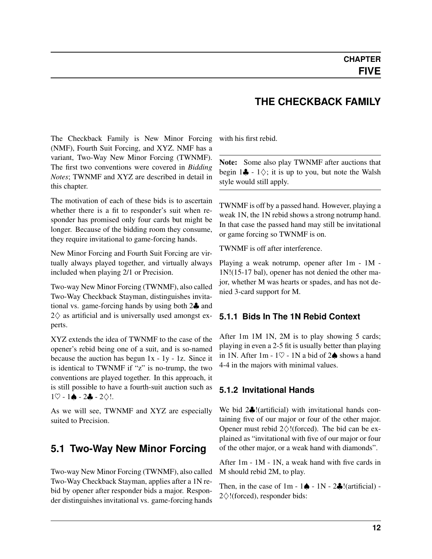#### **THE CHECKBACK FAMILY**

<span id="page-15-4"></span><span id="page-15-0"></span>The Checkback Family is New Minor Forcing (NMF), Fourth Suit Forcing, and XYZ. NMF has a variant, Two-Way New Minor Forcing (TWNMF). The first two conventions were covered in *Bidding Notes*; TWNMF and XYZ are described in detail in this chapter.

The motivation of each of these bids is to ascertain whether there is a fit to responder's suit when responder has promised only four cards but might be longer. Because of the bidding room they consume, they require invitational to game-forcing hands.

New Minor Forcing and Fourth Suit Forcing are virtually always played together, and virtually always included when playing 2/1 or Precision.

Two-way New Minor Forcing (TWNMF), also called Two-Way Checkback Stayman, distinguishes invitational vs. game-forcing hands by using both 2♣ and  $2\diamondsuit$  as artificial and is universally used amongst experts.

XYZ extends the idea of TWNMF to the case of the opener's rebid being one of a suit, and is so-named because the auction has begun 1x - 1y - 1z. Since it is identical to TWNMF if "z" is no-trump, the two conventions are played together. In this approach, it is still possible to have a fourth-suit auction such as  $1\heartsuit - 1\spadesuit - 2\clubsuit - 2\diamondsuit!$ .

As we will see, TWNMF and XYZ are especially suited to Precision.

#### <span id="page-15-1"></span>**5.1 Two-Way New Minor Forcing**

Two-way New Minor Forcing (TWNMF), also called Two-Way Checkback Stayman, applies after a 1N rebid by opener after responder bids a major. Responder distinguishes invitational vs. game-forcing hands with his first rebid.

Note: Some also play TWNMF after auctions that begin  $1\clubsuit - 1$  $\diamondsuit$ ; it is up to you, but note the Walsh style would still apply.

TWNMF is off by a passed hand. However, playing a weak 1N, the 1N rebid shows a strong notrump hand. In that case the passed hand may still be invitational or game forcing so TWNMF is on.

TWNMF is off after interference.

Playing a weak notrump, opener after 1m - 1M - 1N!(15-17 bal), opener has not denied the other major, whether M was hearts or spades, and has not denied 3-card support for M.

#### <span id="page-15-2"></span>**5.1.1 Bids In The 1N Rebid Context**

After 1m 1M 1N, 2M is to play showing 5 cards; playing in even a 2-5 fit is usually better than playing in 1N. After 1m - 1 $\heartsuit$  - 1N a bid of 2 $\spadesuit$  shows a hand 4-4 in the majors with minimal values.

#### <span id="page-15-3"></span>**5.1.2 Invitational Hands**

We bid 2♣!(artificial) with invitational hands containing five of our major or four of the other major. Opener must rebid  $2\diamondsuit$ !(forced). The bid can be explained as "invitational with five of our major or four of the other major, or a weak hand with diamonds".

After 1m - 1M - 1N, a weak hand with five cards in M should rebid 2M, to play.

Then, in the case of  $1m - 1$   $\spadesuit$  -  $1N - 2$  $\clubsuit$ !(artificial) -2♢!(forced), responder bids: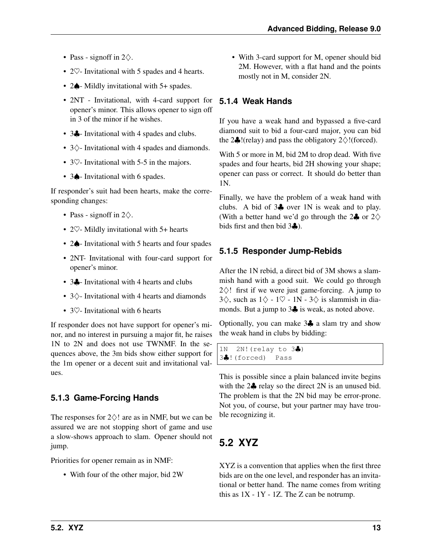- <span id="page-16-4"></span>• Pass - signoff in  $2\diamondsuit$ .
- 2 $\heartsuit$  Invitational with 5 spades and 4 hearts.
- 2 $\spadesuit$  Mildly invitational with 5+ spades.
- 2NT Invitational, with 4-card support for opener's minor. This allows opener to sign off in 3 of the minor if he wishes.
- 3. Invitational with 4 spades and clubs.
- 3♢- Invitational with 4 spades and diamonds.
- 3 $\heartsuit$  Invitational with 5-5 in the majors.
- 3 $\spadesuit$  Invitational with 6 spades.

If responder's suit had been hearts, make the corresponding changes:

- Pass signoff in  $2\diamondsuit$ .
- 2 $\heartsuit$  Mildly invitational with 5+ hearts
- 2 $\spadesuit$  Invitational with 5 hearts and four spades
- 2NT- Invitational with four-card support for opener's minor.
- 3. Invitational with 4 hearts and clubs
- 3♢- Invitational with 4 hearts and diamonds
- 3 $\heartsuit$  Invitational with 6 hearts

If responder does not have support for opener's minor, and no interest in pursuing a major fit, he raises 1N to 2N and does not use TWNMF. In the sequences above, the 3m bids show either support for the 1m opener or a decent suit and invitational values.

#### <span id="page-16-0"></span>**5.1.3 Game-Forcing Hands**

The responses for  $2\diamondsuit!$  are as in NMF, but we can be assured we are not stopping short of game and use a slow-shows approach to slam. Opener should not jump.

Priorities for opener remain as in NMF:

• With four of the other major, bid 2W

• With 3-card support for M, opener should bid 2M. However, with a flat hand and the points mostly not in M, consider 2N.

#### <span id="page-16-1"></span>**5.1.4 Weak Hands**

If you have a weak hand and bypassed a five-card diamond suit to bid a four-card major, you can bid the 2 $\clubsuit$ !(relay) and pass the obligatory 2 $\diamond$ !(forced).

With 5 or more in M, bid 2M to drop dead. With five spades and four hearts, bid 2H showing your shape; opener can pass or correct. It should do better than 1N.

Finally, we have the problem of a weak hand with clubs. A bid of 3♣ over 1N is weak and to play. (With a better hand we'd go through the 2 $\clubsuit$  or 2 $\diamondsuit$ bids first and then bid 3♣).

#### <span id="page-16-2"></span>**5.1.5 Responder Jump-Rebids**

After the 1N rebid, a direct bid of 3M shows a slammish hand with a good suit. We could go through  $2\diamondsuit!$  first if we were just game-forcing. A jump to 3 $\diamondsuit$ , such as  $1\diamondsuit - 1\heartsuit - 1N - 3\diamondsuit$  is slammish in diamonds. But a jump to 3♣ is weak, as noted above.

Optionally, you can make 3♣ a slam try and show the weak hand in clubs by bidding:

1N 2N!(relay to 3♣) 3♣!(forced) Pass

This is possible since a plain balanced invite begins with the  $2\clubsuit$  relay so the direct  $2N$  is an unused bid. The problem is that the 2N bid may be error-prone. Not you, of course, but your partner may have trouble recognizing it.

## <span id="page-16-3"></span>**5.2 XYZ**

XYZ is a convention that applies when the first three bids are on the one level, and responder has an invitational or better hand. The name comes from writing this as  $1X - 1Y - 1Z$ . The Z can be notrump.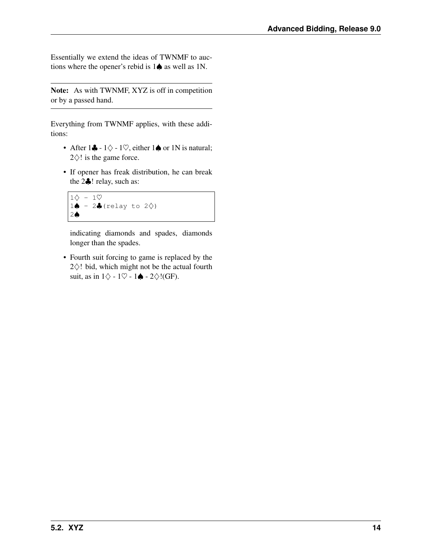Essentially we extend the ideas of TWNMF to auctions where the opener's rebid is 1♠ as well as 1N.

Note: As with TWNMF, XYZ is off in competition or by a passed hand.

Everything from TWNMF applies, with these additions:

- After  $1\clubsuit 1\diamondsuit 1\heartsuit$ , either  $1\spadesuit$  or 1N is natural;  $2\diamond$ ! is the game force.
- If opener has freak distribution, he can break the 2♣! relay, such as:

```
1\diamond - 1\heartsuit1♦ - 2♣ (relay to 2\diamondsuit)
2♠
```
indicating diamonds and spades, diamonds longer than the spades.

• Fourth suit forcing to game is replaced by the 2♢! bid, which might not be the actual fourth suit, as in  $1\diamondsuit$  -  $1\heartsuit$  -  $1\spadesuit$  -  $2\diamondsuit$ !(GF).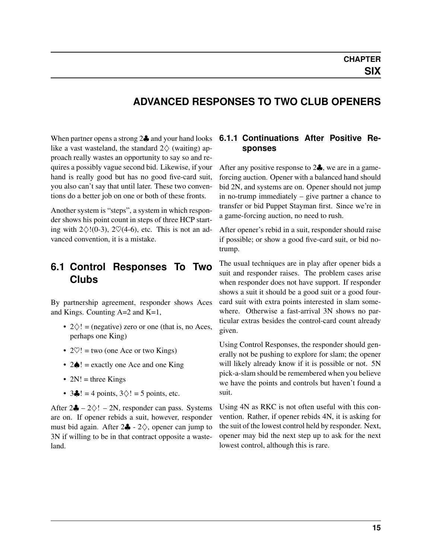#### <span id="page-18-3"></span>**ADVANCED RESPONSES TO TWO CLUB OPENERS**

<span id="page-18-0"></span>When partner opens a strong 2♣ and your hand looks like a vast wasteland, the standard  $2\diamondsuit$  (waiting) approach really wastes an opportunity to say so and requires a possibly vague second bid. Likewise, if your hand is really good but has no good five-card suit, you also can't say that until later. These two conventions do a better job on one or both of these fronts.

Another system is "steps", a system in which responder shows his point count in steps of three HCP starting with  $2\diamondsuit!(0-3)$ ,  $2\heartsuit(4-6)$ , etc. This is not an advanced convention, it is a mistake.

#### <span id="page-18-1"></span>**6.1 Control Responses To Two Clubs**

By partnership agreement, responder shows Aces and Kings. Counting A=2 and K=1,

- $2\diamondsuit!$  = (negative) zero or one (that is, no Aces, perhaps one King)
- $2\heartsuit!$  = two (one Ace or two Kings)
- 2♠! = exactly one Ace and one King
- $2N!$  = three Kings
- $3\clubsuit$ ! = 4 points,  $3\diamondsuit$ ! = 5 points, etc.

After  $2\clubsuit - 2\diamondsuit! - 2N$ , responder can pass. Systems are on. If opener rebids a suit, however, responder must bid again. After  $2\clubsuit - 2\diamondsuit$ , opener can jump to 3N if willing to be in that contract opposite a wasteland.

#### <span id="page-18-2"></span>**6.1.1 Continuations After Positive Responses**

After any positive response to 2♣, we are in a gameforcing auction. Opener with a balanced hand should bid 2N, and systems are on. Opener should not jump in no-trump immediately – give partner a chance to transfer or bid Puppet Stayman first. Since we're in a game-forcing auction, no need to rush.

After opener's rebid in a suit, responder should raise if possible; or show a good five-card suit, or bid notrump.

The usual techniques are in play after opener bids a suit and responder raises. The problem cases arise when responder does not have support. If responder shows a suit it should be a good suit or a good fourcard suit with extra points interested in slam somewhere. Otherwise a fast-arrival 3N shows no particular extras besides the control-card count already given.

Using Control Responses, the responder should generally not be pushing to explore for slam; the opener will likely already know if it is possible or not. 5N pick-a-slam should be remembered when you believe we have the points and controls but haven't found a suit.

Using 4N as RKC is not often useful with this convention. Rather, if opener rebids 4N, it is asking for the suit of the lowest control held by responder. Next, opener may bid the next step up to ask for the next lowest control, although this is rare.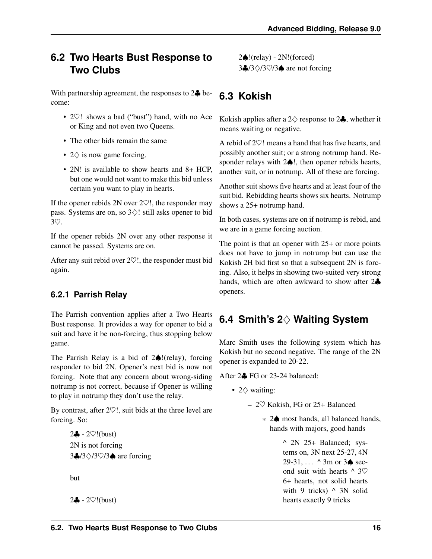#### <span id="page-19-4"></span><span id="page-19-0"></span>**6.2 Two Hearts Bust Response to Two Clubs**

With partnership agreement, the responses to 2<sup> $\clubsuit$ </sup> become:

- 2 $\heartsuit$ ! shows a bad ("bust") hand, with no Ace or King and not even two Queens.
- The other bids remain the same
- $2\diamondsuit$  is now game forcing.
- 2N! is available to show hearts and 8+ HCP. but one would not want to make this bid unless certain you want to play in hearts.

If the opener rebids 2N over  $2\heartsuit!$ , the responder may pass. Systems are on, so 3♢! still asks opener to bid 3♡.

If the opener rebids 2N over any other response it cannot be passed. Systems are on.

After any suit rebid over  $2\heartsuit!$ , the responder must bid again.

#### <span id="page-19-1"></span>**6.2.1 Parrish Relay**

The Parrish convention applies after a Two Hearts Bust response. It provides a way for opener to bid a suit and have it be non-forcing, thus stopping below game.

The Parrish Relay is a bid of 2♠!(relay), forcing responder to bid 2N. Opener's next bid is now not forcing. Note that any concern about wrong-siding notrump is not correct, because if Opener is willing to play in notrump they don't use the relay.

By contrast, after  $2\heartsuit!$ , suit bids at the three level are forcing. So:

> 2♣ - 2♡!(bust) 2N is not forcing 3♣/3♢/3♡/3♠ are forcing

but

2♣ - 2♡!(bust)

2♠!(relay) - 2N!(forced) 3♣/3♢/3♡/3♠ are not forcing

## <span id="page-19-2"></span>**6.3 Kokish**

Kokish applies after a 2 $\diamondsuit$  response to 2 $\clubsuit$ , whether it means waiting or negative.

A rebid of 2♡! means a hand that has five hearts, and possibly another suit; or a strong notrump hand. Responder relays with 2♠!, then opener rebids hearts, another suit, or in notrump. All of these are forcing.

Another suit shows five hearts and at least four of the suit bid. Rebidding hearts shows six hearts. Notrump shows a 25+ notrump hand.

In both cases, systems are on if notrump is rebid, and we are in a game forcing auction.

The point is that an opener with  $25+$  or more points does not have to jump in notrump but can use the Kokish 2H bid first so that a subsequent 2N is forcing. Also, it helps in showing two-suited very strong hands, which are often awkward to show after 2♣ openers.

## <span id="page-19-3"></span>**6.4 Smith's 2**♢ **Waiting System**

Marc Smith uses the following system which has Kokish but no second negative. The range of the 2N opener is expanded to 20-22.

After 2♣ FG or 23-24 balanced:

- 2♢ waiting:
	- 2♡ Kokish, FG or 25+ Balanced
		- \* 2♠ most hands, all balanced hands, hands with majors, good hands

^ 2N 25+ Balanced; systems on, 3N next 25-27, 4N 29-31,  $\ldots$  ^ 3m or 3 $\spadesuit$  second suit with hearts  $\wedge$  3 $\heartsuit$ 6+ hearts, not solid hearts with 9 tricks)  $\wedge$  3N solid hearts exactly 9 tricks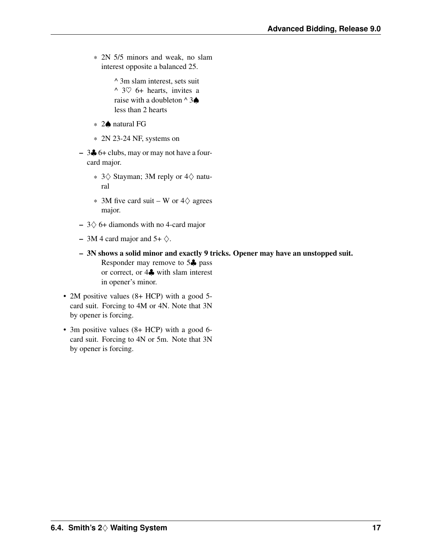\* 2N 5/5 minors and weak, no slam interest opposite a balanced 25.

> ^ 3m slam interest, sets suit  $\land$  3 $\heartsuit$  6+ hearts, invites a raise with a doubleton  $\land$  3 $\spadesuit$ less than 2 hearts

- \* 2♠ natural FG
- \* 2N 23-24 NF, systems on
- 3♣ 6+ clubs, may or may not have a fourcard major.
	- \* 3♢ Stayman; 3M reply or 4♢ natural
	- $*$  3M five card suit W or 4 $\diamondsuit$  agrees major.
- $-$  3 $\diamondsuit$  6+ diamonds with no 4-card major
- 3M 4 card major and  $5+\diamondsuit$ .
- 3N shows a solid minor and exactly 9 tricks. Opener may have an unstopped suit. Responder may remove to 5♣ pass or correct, or 4♣ with slam interest in opener's minor.
- 2M positive values (8+ HCP) with a good 5card suit. Forcing to 4M or 4N. Note that 3N by opener is forcing.
- 3m positive values (8+ HCP) with a good 6 card suit. Forcing to 4N or 5m. Note that 3N by opener is forcing.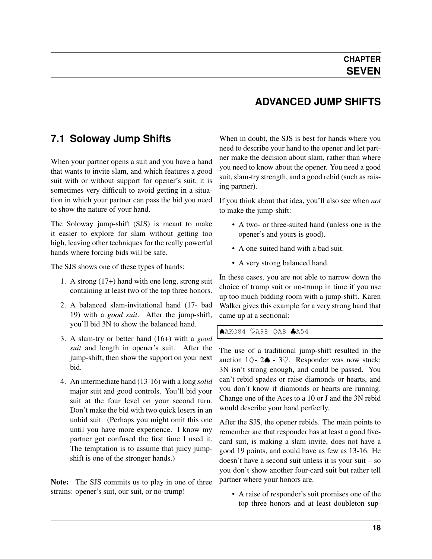#### **ADVANCED JUMP SHIFTS**

#### <span id="page-21-0"></span>**7.1 Soloway Jump Shifts**

When your partner opens a suit and you have a hand that wants to invite slam, and which features a good suit with or without support for opener's suit, it is sometimes very difficult to avoid getting in a situation in which your partner can pass the bid you need to show the nature of your hand.

The Soloway jump-shift (SJS) is meant to make it easier to explore for slam without getting too high, leaving other techniques for the really powerful hands where forcing bids will be safe.

The SJS shows one of these types of hands:

- 1. A strong (17+) hand with one long, strong suit containing at least two of the top three honors.
- 2. A balanced slam-invitational hand (17- bad 19) with a *[good suit](#page-37-1)*. After the jump-shift, you'll bid 3N to show the balanced hand.
- 3. A slam-try or better hand (16+) with a *[good](#page-37-1) [suit](#page-37-1)* and length in opener's suit. After the jump-shift, then show the support on your next bid.
- 4. An intermediate hand (13-16) with a long *solid* major suit and good controls. You'll bid your suit at the four level on your second turn. Don't make the bid with two quick losers in an unbid suit. (Perhaps you might omit this one until you have more experience. I know my partner got confused the first time I used it. The temptation is to assume that juicy jumpshift is one of the stronger hands.)

Note: The SJS commits us to play in one of three strains: opener's suit, our suit, or no-trump!

When in doubt, the SJS is best for hands where you need to describe your hand to the opener and let partner make the decision about slam, rather than where you need to know about the opener. You need a good suit, slam-try strength, and a good rebid (such as raising partner).

If you think about that idea, you'll also see when *not* to make the jump-shift:

- A two- or three-suited hand (unless one is the opener's and yours is good).
- A one-suited hand with a bad suit.
- A very strong balanced hand.

In these cases, you are not able to narrow down the choice of trump suit or no-trump in time if you use up too much bidding room with a jump-shift. Karen Walker gives this example for a very strong hand that came up at a sectional:

♠AKQ84 ♡A98 ♢A8 ♣A54

The use of a traditional jump-shift resulted in the auction  $1\diamondsuit$ - 2 $\spadesuit$  - 3 $\heartsuit$ . Responder was now stuck: 3N isn't strong enough, and could be passed. You can't rebid spades or raise diamonds or hearts, and you don't know if diamonds or hearts are running. Change one of the Aces to a 10 or J and the 3N rebid would describe your hand perfectly.

After the SJS, the opener rebids. The main points to remember are that responder has at least a good fivecard suit, is making a slam invite, does not have a good 19 points, and could have as few as 13-16. He doesn't have a second suit unless it is your suit – so you don't show another four-card suit but rather tell partner where your honors are.

• A raise of responder's suit promises one of the top three honors and at least doubleton sup-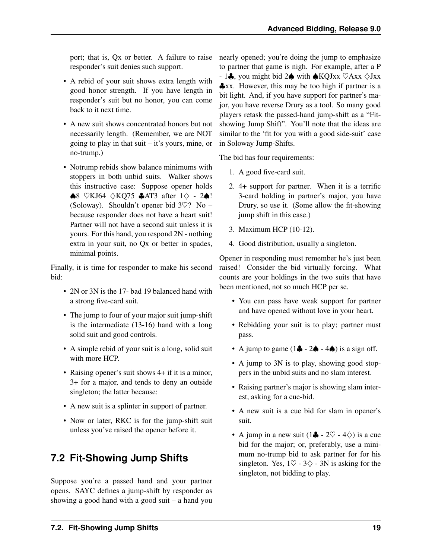<span id="page-22-1"></span>port; that is, Qx or better. A failure to raise responder's suit denies such support.

- A rebid of your suit shows extra length with good honor strength. If you have length in responder's suit but no honor, you can come back to it next time.
- A new suit shows concentrated honors but not necessarily length. (Remember, we are NOT going to play in that suit  $-$  it's yours, mine, or no-trump.)
- Notrump rebids show balance minimums with stoppers in both unbid suits. Walker shows this instructive case: Suppose opener holds ♠8 ♡KJ64 ♢KQ75 ♣AT3 after 1♢ - 2♠! (Soloway). Shouldn't opener bid  $3\heartsuit$ ? No – because responder does not have a heart suit! Partner will not have a second suit unless it is yours. For this hand, you respond 2N - nothing extra in your suit, no Qx or better in spades, minimal points.

Finally, it is time for responder to make his second bid:

- 2N or 3N is the 17- bad 19 balanced hand with a strong five-card suit.
- The jump to four of your major suit jump-shift is the intermediate (13-16) hand with a long solid suit and good controls.
- A simple rebid of your suit is a long, solid suit with more HCP.
- Raising opener's suit shows 4+ if it is a minor, 3+ for a major, and tends to deny an outside singleton; the latter because:
- A new suit is a splinter in support of partner.
- Now or later, RKC is for the jump-shift suit unless you've raised the opener before it.

## <span id="page-22-0"></span>**7.2 Fit-Showing Jump Shifts**

Suppose you're a passed hand and your partner opens. SAYC defines a jump-shift by responder as showing a good hand with a good suit – a hand you nearly opened; you're doing the jump to emphasize to partner that game is nigh. For example, after a P  $-1$  $\clubsuit$ , you might bid 2 $\spadesuit$  with  $\spadesuit$ KQJxx  $\heartsuit$ Axx  $\diamondsuit$ Jxx ♣xx. However, this may be too high if partner is a bit light. And, if you have support for partner's major, you have reverse Drury as a tool. So many good players retask the passed-hand jump-shift as a "Fitshowing Jump Shift". You'll note that the ideas are similar to the 'fit for you with a good side-suit' case in Soloway Jump-Shifts.

The bid has four requirements:

- 1. A good five-card suit.
- 2. 4+ support for partner. When it is a terrific 3-card holding in partner's major, you have Drury, so use it. (Some allow the fit-showing jump shift in this case.)
- 3. Maximum HCP (10-12).
- 4. Good distribution, usually a singleton.

Opener in responding must remember he's just been raised! Consider the bid virtually forcing. What counts are your holdings in the two suits that have been mentioned, not so much HCP per se.

- You can pass have weak support for partner and have opened without love in your heart.
- Rebidding your suit is to play; partner must pass.
- A jump to game  $(1\clubsuit 2\spadesuit 4\spadesuit)$  is a sign off.
- A jump to 3N is to play, showing good stoppers in the unbid suits and no slam interest.
- Raising partner's major is showing slam interest, asking for a cue-bid.
- A new suit is a cue bid for slam in opener's suit.
- A jump in a new suit  $(1\clubsuit 2\heartsuit 4\diamondsuit)$  is a cue bid for the major; or, preferably, use a minimum no-trump bid to ask partner for for his singleton. Yes,  $1\heartsuit - 3\diamondsuit - 3N$  is asking for the singleton, not bidding to play.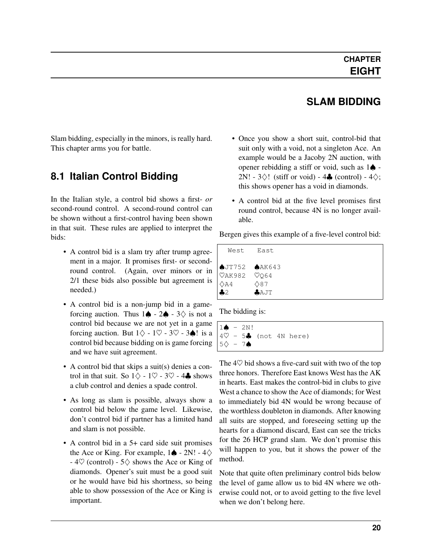#### **SLAM BIDDING**

<span id="page-23-0"></span>Slam bidding, especially in the minors, is really hard. This chapter arms you for battle.

#### <span id="page-23-1"></span>**8.1 Italian Control Bidding**

In the Italian style, a control bid shows a first- *or* second-round control. A second-round control can be shown without a first-control having been shown in that suit. These rules are applied to interpret the bids:

- A control bid is a slam try after trump agreement in a major. It promises first- or secondround control. (Again, over minors or in 2/1 these bids also possible but agreement is needed.)
- A control bid is a non-jump bid in a gameforcing auction. Thus  $1\spadesuit$  -  $2\spadesuit$  -  $3\diamondsuit$  is not a control bid because we are not yet in a game forcing auction. But  $1\diamondsuit - 1\heartsuit - 3\heartsuit - 3\spadesuit!$  is a control bid because bidding on is game forcing and we have suit agreement.
- A control bid that skips a suit(s) denies a control in that suit. So  $1\diamondsuit - 1\heartsuit - 3\heartsuit - 4\clubsuit$  shows a club control and denies a spade control.
- As long as slam is possible, always show a control bid below the game level. Likewise, don't control bid if partner has a limited hand and slam is not possible.
- A control bid in a 5+ card side suit promises the Ace or King. For example,  $1\spadesuit$  - 2N! - 4 $\diamondsuit$ -  $4\heartsuit$  (control) -  $5\diamondsuit$  shows the Ace or King of diamonds. Opener's suit must be a good suit or he would have bid his shortness, so being able to show possession of the Ace or King is important.
- Once you show a short suit, control-bid that suit only with a void, not a singleton Ace. An example would be a Jacoby 2N auction, with opener rebidding a stiff or void, such as  $1\spadesuit$  -2N! -  $3\diamondsuit$ ! (stiff or void) -  $4\clubsuit$  (control) -  $4\diamondsuit$ ; this shows opener has a void in diamonds.
- A control bid at the five level promises first round control, because 4N is no longer available.

Bergen gives this example of a five-level control bid:

| West                                                                                                           | East.                        |
|----------------------------------------------------------------------------------------------------------------|------------------------------|
| $\bigtriangleup$ JT752 $\bigtriangleup$ AK643<br>$\sqrt{4K982}$ $\sqrt{064}$<br>$\Diamond$ A4<br>$\clubsuit$ 2 | $\Diamond 87$<br><b>AAJT</b> |

The bidding is:

```
1 \spadesuit - 2N!4\heartsuit - 5. (not 4N here)
5♢ - 7♠
```
The  $4\heartsuit$  bid shows a five-card suit with two of the top three honors. Therefore East knows West has the AK in hearts. East makes the control-bid in clubs to give West a chance to show the Ace of diamonds; for West to immediately bid 4N would be wrong because of the worthless doubleton in diamonds. After knowing all suits are stopped, and foreseeing setting up the hearts for a diamond discard, East can see the tricks for the 26 HCP grand slam. We don't promise this will happen to you, but it shows the power of the method.

Note that quite often preliminary control bids below the level of game allow us to bid 4N where we otherwise could not, or to avoid getting to the five level when we don't belong here.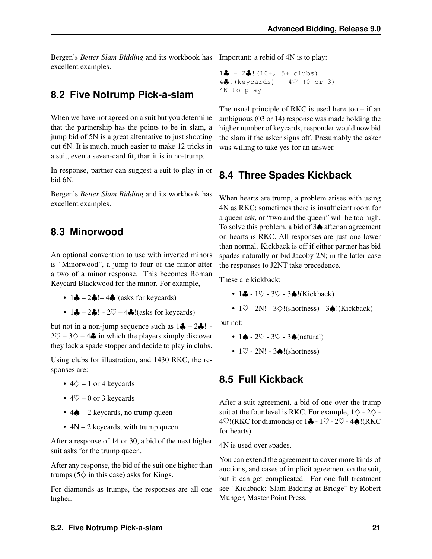<span id="page-24-4"></span>Bergen's *Better Slam Bidding* and its workbook has excellent examples.

#### <span id="page-24-0"></span>**8.2 Five Notrump Pick-a-slam**

When we have not agreed on a suit but you determine that the partnership has the points to be in slam, a jump bid of 5N is a great alternative to just shooting out 6N. It is much, much easier to make 12 tricks in a suit, even a seven-card fit, than it is in no-trump.

In response, partner can suggest a suit to play in or bid 6N.

Bergen's *Better Slam Bidding* and its workbook has excellent examples.

#### <span id="page-24-1"></span>**8.3 Minorwood**

An optional convention to use with inverted minors is "Minorwood", a jump to four of the minor after a two of a minor response. This becomes Roman Keycard Blackwood for the minor. For example,

- $1 \clubsuit 2 \clubsuit 4 \clubsuit$ !(asks for keycards)
- $1\clubsuit 2\clubsuit$ !  $2\heartsuit 4\clubsuit$ !(asks for keycards)

but not in a non-jump sequence such as  $1\clubsuit - 2\clubsuit$ ! - $2\heartsuit - 3\diamondsuit - 4\clubsuit$  in which the players simply discover they lack a spade stopper and decide to play in clubs.

Using clubs for illustration, and 1430 RKC, the responses are:

- $4\Diamond 1$  or 4 keycards
- $40 0$  or 3 keycards
- $4\spadesuit 2$  keycards, no trump queen
- $4N 2$  keycards, with trump queen

After a response of 14 or 30, a bid of the next higher suit asks for the trump queen.

After any response, the bid of the suit one higher than trumps ( $5\diamond$  in this case) asks for Kings.

For diamonds as trumps, the responses are all one higher.

Important: a rebid of 4N is to play:

```
1\clubsuit - 2\clubsuit! (10+, 5+ clubs)
4\clubsuit!(keycards) - 4\heartsuit (0 or 3)
4N to play
```
The usual principle of RKC is used here too  $-$  if an ambiguous (03 or 14) response was made holding the higher number of keycards, responder would now bid the slam if the asker signs off. Presumably the asker was willing to take yes for an answer.

## <span id="page-24-2"></span>**8.4 Three Spades Kickback**

When hearts are trump, a problem arises with using 4N as RKC: sometimes there is insufficient room for a queen ask, or "two and the queen" will be too high. To solve this problem, a bid of 3♠ after an agreement on hearts is RKC. All responses are just one lower than normal. Kickback is off if either partner has bid spades naturally or bid Jacoby 2N; in the latter case the responses to J2NT take precedence.

These are kickback:

- $1\clubsuit 1\heartsuit 3\heartsuit 3\spadesuit$ !(Kickback)
- $1\heartsuit$  2N! 3 $\diamondsuit$ !(shortness) 3 $\triangle$ !(Kickback)

but not:

- 1 $\triangle$  2 $\heartsuit$  3 $\heartsuit$  3 $\triangle$  (natural)
- $1\heartsuit$  2N! 3 $\triangle$ !(shortness)

#### <span id="page-24-3"></span>**8.5 Full Kickback**

After a suit agreement, a bid of one over the trump suit at the four level is RKC. For example,  $1\diamondsuit - 2\diamondsuit -$ 4 $\heartsuit$ !(RKC for diamonds) or 1 $\clubsuit$  - 1 $\heartsuit$  - 2 $\heartsuit$  - 4 $\spadesuit$ !(RKC for hearts).

4N is used over spades.

You can extend the agreement to cover more kinds of auctions, and cases of implicit agreement on the suit, but it can get complicated. For one full treatment see "Kickback: Slam Bidding at Bridge" by Robert Munger, Master Point Press.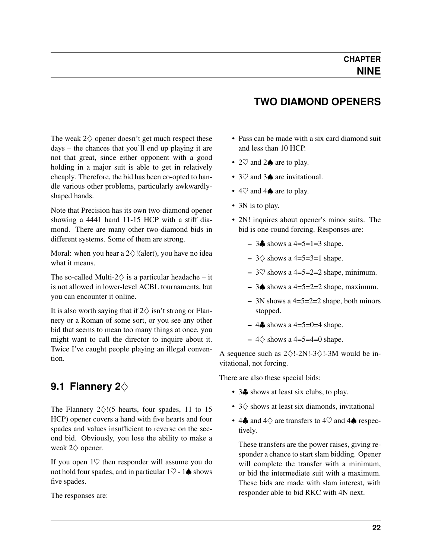<span id="page-25-2"></span><span id="page-25-0"></span>The weak  $2\diamondsuit$  opener doesn't get much respect these days – the chances that you'll end up playing it are not that great, since either opponent with a good holding in a major suit is able to get in relatively cheaply. Therefore, the bid has been co-opted to handle various other problems, particularly awkwardlyshaped hands.

Note that Precision has its own two-diamond opener showing a 4441 hand 11-15 HCP with a stiff diamond. There are many other two-diamond bids in different systems. Some of them are strong.

Moral: when you hear a  $2 \diamondsuit !$  (alert), you have no idea what it means.

The so-called Multi-2 $\diamondsuit$  is a particular headache – it is not allowed in lower-level ACBL tournaments, but you can encounter it online.

It is also worth saying that if  $2\diamondsuit$  isn't strong or Flannery or a Roman of some sort, or you see any other bid that seems to mean too many things at once, you might want to call the director to inquire about it. Twice I've caught people playing an illegal convention.

## <span id="page-25-1"></span>**9.1 Flannery 2**♢

The Flannery  $2\diamondsuit$ !(5 hearts, four spades, 11 to 15 HCP) opener covers a hand with five hearts and four spades and values insufficient to reverse on the second bid. Obviously, you lose the ability to make a weak 2♢ opener.

If you open  $1\heartsuit$  then responder will assume you do not hold four spades, and in particular  $1\heartsuit - 1\spadesuit$  shows five spades.

The responses are:

#### **TWO DIAMOND OPENERS**

- Pass can be made with a six card diamond suit and less than 10 HCP.
- 2 $\heartsuit$  and 2 $\spadesuit$  are to play.
- 3♡ and 3▲ are invitational.
- $4\heartsuit$  and  $4\spadesuit$  are to play.
- 3N is to play.
- 2N! inquires about opener's minor suits. The bid is one-round forcing. Responses are:
	- $-$  3 $\clubsuit$  shows a 4=5=1=3 shape.
	- $-3$  \cdots a 4=5=3=1 shape.
	- $-$  3 $\heartsuit$  shows a 4=5=2=2 shape, minimum.
	- 3♦ shows a 4=5=2=2 shape, maximum.
	- 3N shows a 4=5=2=2 shape, both minors stopped.
	- 4♣ shows a 4=5=0=4 shape.
	- $-4$   $\diamond$  shows a 4=5=4=0 shape.

A sequence such as  $2\diamondsuit!$ -2N!-3 $\diamondsuit!$ -3M would be invitational, not forcing.

There are also these special bids:

- 3. shows at least six clubs, to play.
- 3♢ shows at least six diamonds, invitational
- 4 $\clubsuit$  and 4 $\diamond$  are transfers to 4 $\heartsuit$  and 4 $\spadesuit$  respectively.

These transfers are the power raises, giving responder a chance to start slam bidding. Opener will complete the transfer with a minimum, or bid the intermediate suit with a maximum. These bids are made with slam interest, with responder able to bid RKC with 4N next.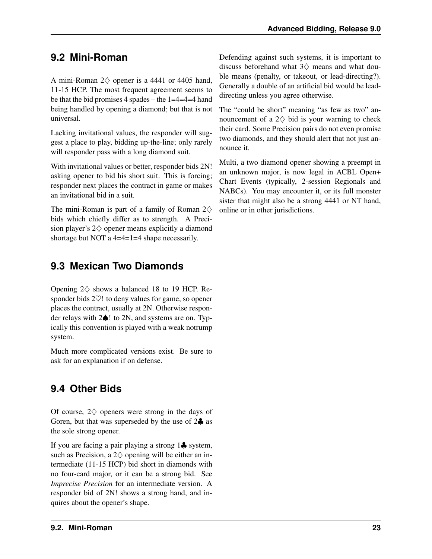## <span id="page-26-3"></span><span id="page-26-0"></span>**9.2 Mini-Roman**

A mini-Roman 2♢ opener is a 4441 or 4405 hand, 11-15 HCP. The most frequent agreement seems to be that the bid promises 4 spades – the 1=4=4=4 hand being handled by opening a diamond; but that is not universal.

Lacking invitational values, the responder will suggest a place to play, bidding up-the-line; only rarely will responder pass with a long diamond suit.

With invitational values or better, responder bids 2N! asking opener to bid his short suit. This is forcing; responder next places the contract in game or makes an invitational bid in a suit.

The mini-Roman is part of a family of Roman  $2\diamondsuit$ bids which chiefly differ as to strength. A Precision player's 2♢ opener means explicitly a diamond shortage but NOT a 4=4=1=4 shape necessarily.

#### <span id="page-26-1"></span>**9.3 Mexican Two Diamonds**

Opening  $2\diamond$  shows a balanced 18 to 19 HCP. Responder bids 2♡! to deny values for game, so opener places the contract, usually at 2N. Otherwise responder relays with 2♠! to 2N, and systems are on. Typically this convention is played with a weak notrump system.

Much more complicated versions exist. Be sure to ask for an explanation if on defense.

## <span id="page-26-2"></span>**9.4 Other Bids**

Of course,  $2\diamondsuit$  openers were strong in the days of Goren, but that was superseded by the use of 2♣ as the sole strong opener.

If you are facing a pair playing a strong 1♣ system, such as Precision, a  $2\diamondsuit$  opening will be either an intermediate (11-15 HCP) bid short in diamonds with no four-card major, or it can be a strong bid. See *Imprecise Precision* for an intermediate version. A responder bid of 2N! shows a strong hand, and inquires about the opener's shape.

Defending against such systems, it is important to discuss beforehand what 3♢ means and what double means (penalty, or takeout, or lead-directing?). Generally a double of an artificial bid would be leaddirecting unless you agree otherwise.

The "could be short" meaning "as few as two" announcement of a  $2\diamondsuit$  bid is your warning to check their card. Some Precision pairs do not even promise two diamonds, and they should alert that not just announce it.

Multi, a two diamond opener showing a preempt in an unknown major, is now legal in ACBL Open+ Chart Events (typically, 2-session Regionals and NABCs). You may encounter it, or its full monster sister that might also be a strong 4441 or NT hand, online or in other jurisdictions.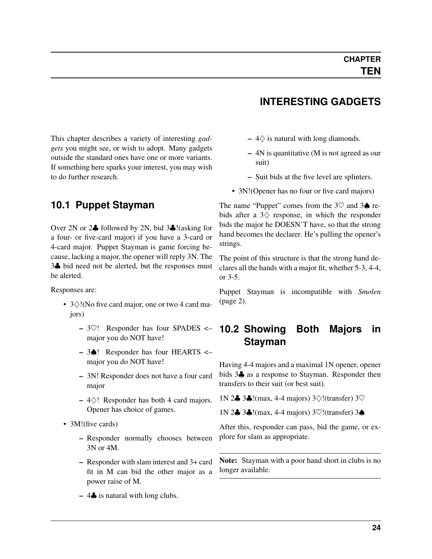<span id="page-27-4"></span><span id="page-27-0"></span>This chapter describes a variety of interesting *[gad](#page-37-0)[gets](#page-37-0)* you might see, or wish to adopt. Many gadgets outside the standard ones have one or more variants. If something here sparks your interest, you may wish to do further research.

#### <span id="page-27-1"></span>**10.1 Puppet Stayman**

<span id="page-27-3"></span>Over 2N or 2♣ followed by 2N, bid 3♣!(asking for a four- or five-card major) if you have a 3-card or 4-card major. Puppet Stayman is game forcing because, lacking a major, the opener will reply 3N. The 3♣ bid need not be alerted, but the responses must be alerted.

Responses are:

- 3♢!(No five card major, one or two 4 card majors)
	- $-3\degree$ ! Responder has four SPADES  $\lt$ major you do NOT have!
	- 3♠! Responder has four HEARTS <– major you do NOT have!
	- 3N! Responder does not have a four card major
	- $-4\diamond$ ! Responder has both 4 card majors. Opener has choice of games.
- 3M!(five cards)
	- Responder normally chooses between 3N or 4M.
	- Responder with slam interest and 3+ card fit in M can bid the other major as a power raise of M.
	- $-4$ , is natural with long clubs.

## **INTERESTING GADGETS**

- $-4\Diamond$  is natural with long diamonds.
- 4N is quantitative (M is not agreed as our suit)
- Suit bids at the five level are splinters.
- 3N!(Opener has no four or five card majors)

The name "Puppet" comes from the  $3\heartsuit$  and  $3\spadesuit$  rebids after a  $3\diamondsuit$  response, in which the responder bids the major he DOESN'T have, so that the strong hand becomes the declarer. He's pulling the opener's strings.

The point of this structure is that the strong hand declares all the hands with a major fit, whether 5-3, 4-4, or 3-5.

Puppet Stayman is incompatible with *[Smolen](#page-5-4)* (page 2).

#### <span id="page-27-2"></span>**10.2 Showing Both Majors in Stayman**

Having 4-4 majors and a maximal 1N opener, opener bids 3♣ as a response to Stayman. Responder then transfers to their suit (or best suit).

1N 2♣ 3♣!(max, 4-4 majors) 3♢!(transfer) 3♡

1N 2♣ 3♣!(max, 4-4 majors) 3♡!(transfer) 3♠

After this, responder can pass, bid the game, or explore for slam as appropriate.

Note: Stayman with a poor hand short in clubs is no longer available.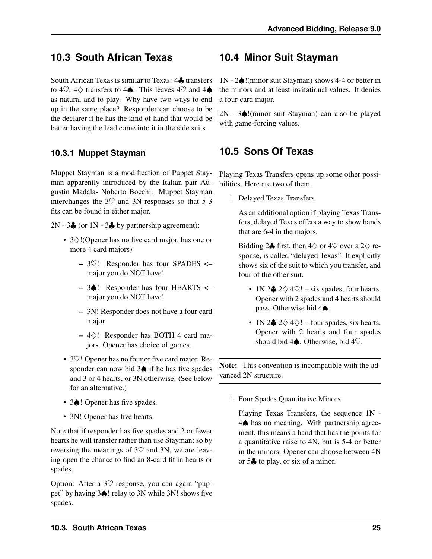#### <span id="page-28-4"></span><span id="page-28-0"></span>**10.3 South African Texas**

South African Texas is similar to Texas: 4♣ transfers to 4 $\heartsuit$ , 4 $\diamondsuit$  transfers to 4 $\spadesuit$ . This leaves 4 $\heartsuit$  and 4 $\spadesuit$ as natural and to play. Why have two ways to end up in the same place? Responder can choose to be the declarer if he has the kind of hand that would be better having the lead come into it in the side suits.

#### <span id="page-28-1"></span>**10.3.1 Muppet Stayman**

Muppet Stayman is a modification of Puppet Stayman apparently introduced by the Italian pair Augustin Madala- Noberto Bocchi. Muppet Stayman interchanges the  $3\heartsuit$  and  $3N$  responses so that 5-3 fits can be found in either major.

2N - 3 $\clubsuit$  (or 1N - 3 $\clubsuit$  by partnership agreement):

- 3♢!(Opener has no five card major, has one or more 4 card majors)
	- 3♡! Responder has four SPADES <– major you do NOT have!
	- 3♠! Responder has four HEARTS <– major you do NOT have!
	- 3N! Responder does not have a four card major
	- 4♢! Responder has BOTH 4 card majors. Opener has choice of games.
- 3 $\heartsuit$ ! Opener has no four or five card major. Responder can now bid 3♠ if he has five spades and 3 or 4 hearts, or 3N otherwise. (See below for an alternative.)
- 3♦! Opener has five spades.
- 3N! Opener has five hearts.

Note that if responder has five spades and 2 or fewer hearts he will transfer rather than use Stayman; so by reversing the meanings of  $3\heartsuit$  and  $3N$ , we are leaving open the chance to find an 8-card fit in hearts or spades.

Option: After a  $3\heartsuit$  response, you can again "puppet" by having 3♠! relay to 3N while 3N! shows five spades.

#### <span id="page-28-2"></span>**10.4 Minor Suit Stayman**

1N - 2♠!(minor suit Stayman) shows 4-4 or better in the minors and at least invitational values. It denies a four-card major.

2N - 3♠!(minor suit Stayman) can also be played with game-forcing values.

#### <span id="page-28-3"></span>**10.5 Sons Of Texas**

Playing Texas Transfers opens up some other possibilities. Here are two of them.

1. Delayed Texas Transfers

As an additional option if playing Texas Transfers, delayed Texas offers a way to show hands that are 6-4 in the majors.

Bidding 2 $\clubsuit$  first, then  $4\diamondsuit$  or  $4\heartsuit$  over a  $2\diamondsuit$  response, is called "delayed Texas". It explicitly shows six of the suit to which you transfer, and four of the other suit.

- 1N 2 $\clubsuit$  2 $\diamond$  4 $\heartsuit$ ! six spades, four hearts. Opener with 2 spades and 4 hearts should pass. Otherwise bid 4♠.
- 1N 2 $\clubsuit$  2 $\diamondsuit$  4 $\diamondsuit$ ! four spades, six hearts. Opener with 2 hearts and four spades should bid 4♠. Otherwise, bid 4♡.

Note: This convention is incompatible with the advanced 2N structure.

1. Four Spades Quantitative Minors

Playing Texas Transfers, the sequence 1N - 4♠ has no meaning. With partnership agreement, this means a hand that has the points for a quantitative raise to 4N, but is 5-4 or better in the minors. Opener can choose between 4N or 5♣ to play, or six of a minor.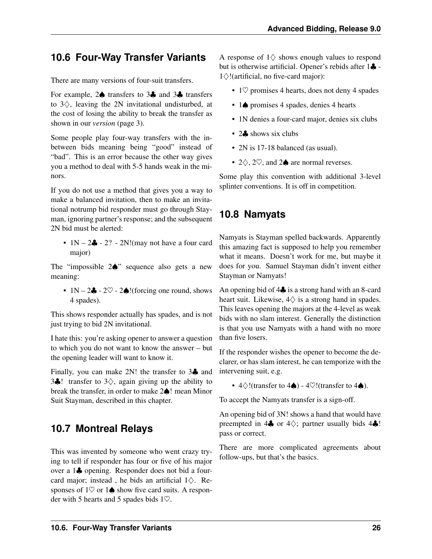## <span id="page-29-3"></span><span id="page-29-0"></span>**10.6 Four-Way Transfer Variants**

There are many versions of four-suit transfers.

For example, 2♠ transfers to 3♣ and 3♣ transfers to 3♢, leaving the 2N invitational undisturbed, at the cost of losing the ability to break the transfer as shown in our *[version](#page-6-2)* (page 3).

Some people play four-way transfers with the inbetween bids meaning being "good" instead of "bad". This is an error because the other way gives you a method to deal with 5-5 hands weak in the minors.

If you do not use a method that gives you a way to make a balanced invitation, then to make an invitational notrump bid responder must go through Stayman, ignoring partner's response; and the subsequent 2N bid must be alerted:

•  $1N - 2$  – 2? - 2N! (may not have a four card major)

The "impossible 2♠" sequence also gets a new meaning:

•  $1N - 2\clubsuit - 2\heartsuit - 2\spadesuit!$  (forcing one round, shows 4 spades).

This shows responder actually has spades, and is not just trying to bid 2N invitational.

I hate this: you're asking opener to answer a question to which you do not want to know the answer – but the opening leader will want to know it.

Finally, you can make 2N! the transfer to 3♣ and 3. transfer to  $3\diamondsuit$ , again giving up the ability to break the transfer, in order to make 2♠! mean Minor Suit Stayman, described in this chapter.

## <span id="page-29-1"></span>**10.7 Montreal Relays**

This was invented by someone who went crazy trying to tell if responder has four or five of his major over a 1♣ opening. Responder does not bid a fourcard major; instead, he bids an artificial  $1\diamondsuit$ . Responses of  $1\heartsuit$  or  $1\spadesuit$  show five card suits. A responder with 5 hearts and 5 spades bids 1♡.

A response of  $1\diamondsuit$  shows enough values to respond but is otherwise artificial. Opener's rebids after 1♣ - 1♢!(artificial, no five-card major):

- 1 $\heartsuit$  promises 4 hearts, does not deny 4 spades
- 1♠ promises 4 spades, denies 4 hearts
- 1N denies a four-card major, denies six clubs
- 24 shows six clubs
- 2N is 17-18 balanced (as usual).
- 2 $\diamondsuit$ , 2 $\heartsuit$ , and 2 $\spadesuit$  are normal reverses.

Some play this convention with additional 3-level splinter conventions. It is off in competition.

## <span id="page-29-2"></span>**10.8 Namyats**

Namyats is Stayman spelled backwards. Apparently this amazing fact is supposed to help you remember what it means. Doesn't work for me, but maybe it does for you. Samuel Stayman didn't invent either Stayman or Namyats!

An opening bid of 4♣ is a strong hand with an 8-card heart suit. Likewise,  $4\diamondsuit$  is a strong hand in spades. This leaves opening the majors at the 4-level as weak bids with no slam interest. Generally the distinction is that you use Namyats with a hand with no more than five losers.

If the responder wishes the opener to become the declarer, or has slam interest, he can temporize with the intervening suit, e.g.

•  $4\diamondsuit$ !(transfer to 4 $\spadesuit$ ) -  $4\heartsuit$ !(transfer to 4 $\spadesuit$ ).

To accept the Namyats transfer is a sign-off.

An opening bid of 3N! shows a hand that would have preempted in  $4\clubsuit$  or  $4\diamondsuit$ ; partner usually bids  $4\clubsuit$ ! pass or correct.

There are more complicated agreements about follow-ups, but that's the basics.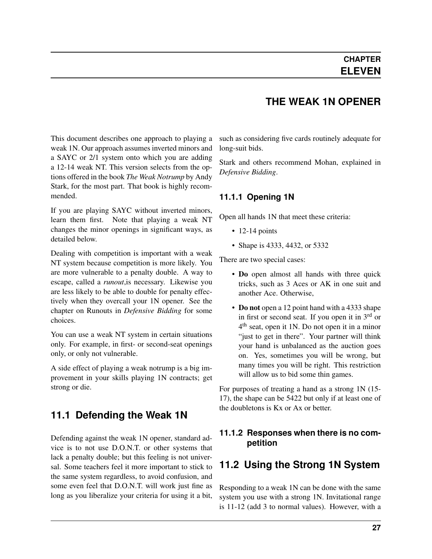#### **THE WEAK 1N OPENER**

<span id="page-30-0"></span>This document describes one approach to playing a weak 1N. Our approach assumes inverted minors and a SAYC or 2/1 system onto which you are adding a 12-14 weak NT. This version selects from the options offered in the book *The Weak Notrump* by Andy Stark, for the most part. That book is highly recommended.

If you are playing SAYC without inverted minors, learn them first. Note that playing a weak NT changes the minor openings in significant ways, as detailed below.

Dealing with competition is important with a weak NT system because competition is more likely. You are more vulnerable to a penalty double. A way to escape, called a *[runout](#page-38-3)*,is necessary. Likewise you are less likely to be able to double for penalty effectively when they overcall your 1N opener. See the chapter on Runouts in *Defensive Bidding* for some choices.

You can use a weak NT system in certain situations only. For example, in first- or second-seat openings only, or only not vulnerable.

A side effect of playing a weak notrump is a big improvement in your skills playing 1N contracts; get strong or die.

#### <span id="page-30-1"></span>**11.1 Defending the Weak 1N**

Defending against the weak 1N opener, standard advice is to not use D.O.N.T. or other systems that lack a penalty double; but this feeling is not universal. Some teachers feel it more important to stick to the same system regardless, to avoid confusion, and some even feel that D.O.N.T. will work just fine as long as you liberalize your criteria for using it a bit,

such as considering five cards routinely adequate for long-suit bids.

Stark and others recommend Mohan, explained in *Defensive Bidding*.

#### <span id="page-30-2"></span>**11.1.1 Opening 1N**

Open all hands 1N that meet these criteria:

- $\cdot$  12-14 points
- Shape is 4333, 4432, or 5332

There are two special cases:

- Do open almost all hands with three quick tricks, such as 3 Aces or AK in one suit and another Ace. Otherwise,
- Do not open a 12 point hand with a 4333 shape in first or second seat. If you open it in 3rd or 4<sup>th</sup> seat, open it 1N. Do not open it in a minor "just to get in there". Your partner will think your hand is unbalanced as the auction goes on. Yes, sometimes you will be wrong, but many times you will be right. This restriction will allow us to bid some thin games.

For purposes of treating a hand as a strong 1N (15- 17), the shape can be 5422 but only if at least one of the doubletons is Kx or Ax or better.

#### <span id="page-30-3"></span>**11.1.2 Responses when there is no competition**

#### <span id="page-30-4"></span>**11.2 Using the Strong 1N System**

Responding to a weak 1N can be done with the same system you use with a strong 1N. Invitational range is 11-12 (add 3 to normal values). However, with a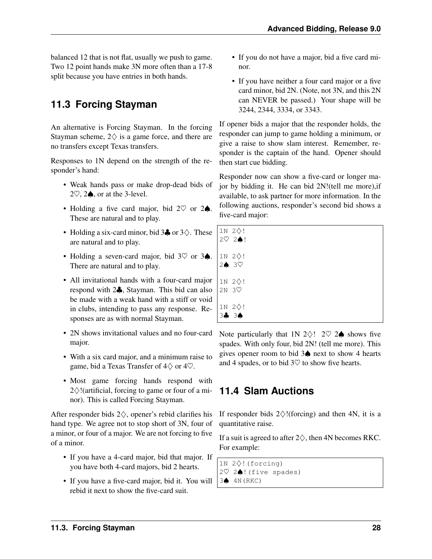<span id="page-31-2"></span>balanced 12 that is not flat, usually we push to game. Two 12 point hands make 3N more often than a 17-8 split because you have entries in both hands.

## <span id="page-31-0"></span>**11.3 Forcing Stayman**

An alternative is Forcing Stayman. In the forcing Stayman scheme,  $2 \diamondsuit$  is a game force, and there are no transfers except Texas transfers.

Responses to 1N depend on the strength of the responder's hand:

- Weak hands pass or make drop-dead bids of 2 $\heartsuit$ , 2 $\spadesuit$ , or at the 3-level.
- Holding a five card major, bid 2♡ or 2♠. These are natural and to play.
- Holding a six-card minor, bid  $3\clubsuit$  or  $3\diamondsuit$ . These are natural and to play.
- Holding a seven-card major, bid 3♡ or 3♠. There are natural and to play.
- All invitational hands with a four-card major respond with 2♣, Stayman. This bid can also be made with a weak hand with a stiff or void in clubs, intending to pass any response. Responses are as with normal Stayman.
- 2N shows invitational values and no four-card major.
- With a six card major, and a minimum raise to game, bid a Texas Transfer of  $4\diamondsuit$  or  $4\heartsuit$ .
- Most game forcing hands respond with  $2\diamond$ !(artificial, forcing to game or four of a minor). This is called Forcing Stayman.

After responder bids  $2\diamondsuit$ , opener's rebid clarifies his hand type. We agree not to stop short of 3N, four of a minor, or four of a major. We are not forcing to five of a minor.

- If you have a 4-card major, bid that major. If you have both 4-card majors, bid 2 hearts.
- If you have a five-card major, bid it. You will rebid it next to show the five-card suit.
- If you do not have a major, bid a five card minor.
- If you have neither a four card major or a five card minor, bid 2N. (Note, not 3N, and this 2N can NEVER be passed.) Your shape will be 3244, 2344, 3334, or 3343.

If opener bids a major that the responder holds, the responder can jump to game holding a minimum, or give a raise to show slam interest. Remember, responder is the captain of the hand. Opener should then start cue bidding.

Responder now can show a five-card or longer major by bidding it. He can bid 2N!(tell me more),if available, to ask partner for more information. In the following auctions, responder's second bid shows a five-card major:

| 1N 2◇!<br>2♡ 2♪!                           |  |  |  |
|--------------------------------------------|--|--|--|
| $1N 2\diamondsuit!$<br>2♦ 3♡               |  |  |  |
| $1N 2\diamondsuit!$<br>$2N$ 3 $\heartsuit$ |  |  |  |
| 1N 2◇!<br>34 34                            |  |  |  |

Note particularly that 1N 2 $\diamondsuit$ ! 2 $\heartsuit$  2 $\spadesuit$  shows five spades. With only four, bid 2N! (tell me more). This gives opener room to bid 3♠ next to show 4 hearts and 4 spades, or to bid  $3\heartsuit$  to show five hearts.

## <span id="page-31-1"></span>**11.4 Slam Auctions**

If responder bids  $2\diamondsuit$ !(forcing) and then 4N, it is a quantitative raise.

If a suit is agreed to after  $2\diamondsuit$ , then 4N becomes RKC. For example:

```
1N 2♢!(forcing)
2♡ 2♠!(five spades)
3♠ 4N(RKC)
```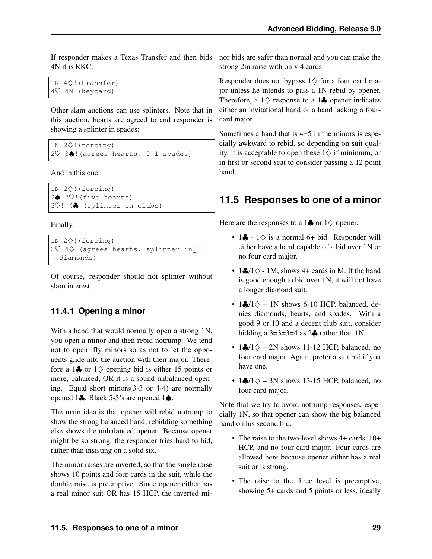If responder makes a Texas Transfer and then bids 4N it is RKC:

```
1N 4♢!(transfer)
4♡ 4N (keycard)
```
Other slam auctions can use splinters. Note that in this auction, hearts are agreed to and responder is showing a splinter in spades:

```
1N 2♢!(forcing)
2♡ 3♠!(agrees hearts, 0-1 spades)
```
And in this one:

```
1N 2♢!(forcing)
2♠ 2♡!(five hearts)
3♡! 4♣ (splinter in clubs)
```
Finally,

```
1N 2♢!(forcing)
2♡ 4◇ (agrees hearts, splinter in
˓→diamonds)
```
Of course, responder should not splinter without slam interest.

#### <span id="page-32-0"></span>**11.4.1 Opening a minor**

With a hand that would normally open a strong 1N, you open a minor and then rebid notrump. We tend not to open iffy minors so as not to let the opponents glide into the auction with their major. Therefore a 1 $\clubsuit$  or 1 $\diamond$  opening bid is either 15 points or more, balanced, OR it is a sound unbalanced opening. Equal short minors(3-3 or 4-4) are normally opened 1♣. Black 5-5's are opened 1♠.

The main idea is that opener will rebid notrump to show the strong balanced hand; rebidding something else shows the unbalanced opener. Because opener might be so strong, the responder tries hard to bid, rather than insisting on a solid six.

The minor raises are inverted, so that the single raise shows 10 points and four cards in the suit, while the double raise is preemptive. Since opener either has a real minor suit OR has 15 HCP, the inverted minor bids are safer than normal and you can make the strong 2m raise with only 4 cards.

Responder does not bypass  $1 \diamondsuit$  for a four card major unless he intends to pass a 1N rebid by opener. Therefore, a  $1\diamondsuit$  response to a  $1\clubsuit$  opener indicates either an invitational hand or a hand lacking a fourcard major.

Sometimes a hand that is 4=5 in the minors is especially awkward to rebid, so depending on suit quality, it is acceptable to open these  $1 \diamondsuit$  if minimum, or in first or second seat to consider passing a 12 point hand.

## <span id="page-32-1"></span>**11.5 Responses to one of a minor**

Here are the responses to a 1 $\clubsuit$  or 1 $\diamond$  opener.

- 1 $\clubsuit$  1 $\diamondsuit$  is a normal 6+ bid. Responder will either have a hand capable of a bid over 1N or no four card major.
- 1 $\clubsuit$ /1 $\diamond$  1M, shows 4+ cards in M. If the hand is good enough to bid over 1N, it will not have a longer diamond suit.
- 1 $\clubsuit$ /1 $\diamond$  1N shows 6-10 HCP, balanced, denies diamonds, hearts, and spades. With a good 9 or 10 and a decent club suit, consider bidding a  $3=3=3=4$  as  $2\clubsuit$  rather than 1N.
- 1 $\clubsuit$ /1 $\diamond$  2N shows 11-12 HCP, balanced, no four card major. Again, prefer a suit bid if you have one.
- 1 $\frac{1}{2}$ /1 $\diamond$  3N shows 13-15 HCP, balanced, no four card major.

Note that we try to avoid notrump responses, especially 1N, so that opener can show the big balanced hand on his second bid.

- The raise to the two-level shows 4+ cards,  $10+$ HCP, and no four-card major. Four cards are allowed here because opener either has a real suit or is strong.
- The raise to the three level is preemptive, showing 5+ cards and 5 points or less, ideally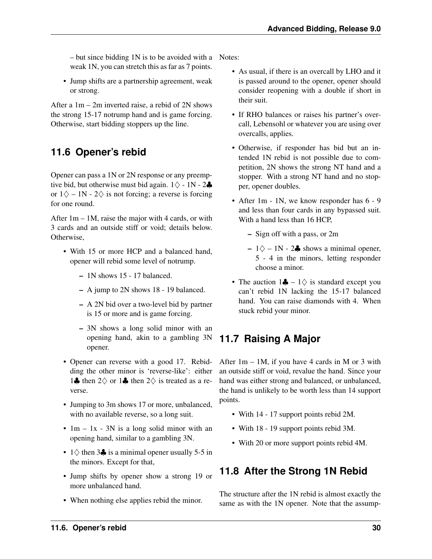– but since bidding 1N is to be avoided with a Notes: weak 1N, you can stretch this as far as 7 points.

• Jump shifts are a partnership agreement, weak or strong.

After a 1m – 2m inverted raise, a rebid of 2N shows the strong 15-17 notrump hand and is game forcing. Otherwise, start bidding stoppers up the line.

## <span id="page-33-0"></span>**11.6 Opener's rebid**

Opener can pass a 1N or 2N response or any preemptive bid, but otherwise must bid again.  $1\diamondsuit$  - 1N - 2 $\clubsuit$ or  $1\diamondsuit - 1N - 2\diamondsuit$  is not forcing; a reverse is forcing for one round.

After  $1m - 1M$ , raise the major with 4 cards, or with 3 cards and an outside stiff or void; details below. Otherwise,

- With 15 or more HCP and a balanced hand, opener will rebid some level of notrump.
	- 1N shows 15 17 balanced.
	- A jump to 2N shows 18 19 balanced.
	- A 2N bid over a two-level bid by partner is 15 or more and is game forcing.
	- 3N shows a long solid minor with an opening hand, akin to a gambling 3N opener.
- Opener can reverse with a good 17. Rebidding the other minor is 'reverse-like': either 1♣ then  $2\diamondsuit$  or 1♣ then  $2\diamondsuit$  is treated as a reverse.
- Jumping to 3m shows 17 or more, unbalanced, with no available reverse, so a long suit.
- $1m 1x 3N$  is a long solid minor with an opening hand, similar to a gambling 3N.
- $1\diamond$  then 3 $\clubsuit$  is a minimal opener usually 5-5 in the minors. Except for that,
- Jump shifts by opener show a strong 19 or more unbalanced hand.
- When nothing else applies rebid the minor.

- As usual, if there is an overcall by LHO and it is passed around to the opener, opener should consider reopening with a double if short in their suit.
- If RHO balances or raises his partner's overcall, Lebensohl or whatever you are using over overcalls, applies.
- Otherwise, if responder has bid but an intended 1N rebid is not possible due to competition, 2N shows the strong NT hand and a stopper. With a strong NT hand and no stopper, opener doubles.
- After 1m 1N, we know responder has  $6 9$ and less than four cards in any bypassed suit. With a hand less than 16 HCP,
	- Sign off with a pass, or 2m
	- $1\diamond$  1N 2♣ shows a minimal opener, 5 - 4 in the minors, letting responder choose a minor.
- The auction  $1\clubsuit 1$   $\diamondsuit$  is standard except you can't rebid 1N lacking the 15-17 balanced hand. You can raise diamonds with 4. When stuck rebid your minor.

## <span id="page-33-1"></span>**11.7 Raising A Major**

After  $1m - 1M$ , if you have 4 cards in M or 3 with an outside stiff or void, revalue the hand. Since your hand was either strong and balanced, or unbalanced, the hand is unlikely to be worth less than 14 support points.

- With 14 17 support points rebid 2M.
- With 18 19 support points rebid 3M.
- With 20 or more support points rebid 4M.

## <span id="page-33-2"></span>**11.8 After the Strong 1N Rebid**

The structure after the 1N rebid is almost exactly the same as with the 1N opener. Note that the assump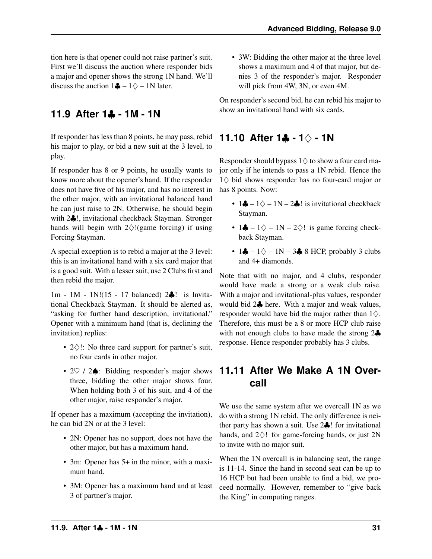tion here is that opener could not raise partner's suit. First we'll discuss the auction where responder bids a major and opener shows the strong 1N hand. We'll discuss the auction  $1\clubsuit - 1\square - 1N$  later.

#### <span id="page-34-0"></span>**11.9 After 1**♣ **- 1M - 1N**

If responder has less than 8 points, he may pass, rebid his major to play, or bid a new suit at the 3 level, to play.

If responder has 8 or 9 points, he usually wants to know more about the opener's hand. If the responder does not have five of his major, and has no interest in the other major, with an invitational balanced hand he can just raise to 2N. Otherwise, he should begin with 2 $\clubsuit$ !, invitational checkback Stayman. Stronger hands will begin with  $2\diamondsuit$ !(game forcing) if using Forcing Stayman.

A special exception is to rebid a major at the 3 level: this is an invitational hand with a six card major that is a good suit. With a lesser suit, use 2 Clubs first and then rebid the major.

1m - 1M - 1N!(15 - 17 balanced) 2♣! is Invitational Checkback Stayman. It should be alerted as, "asking for further hand description, invitational." Opener with a minimum hand (that is, declining the invitation) replies:

- 2♢!: No three card support for partner's suit, no four cards in other major.
- 2♡ / 2♠: Bidding responder's major shows three, bidding the other major shows four. When holding both 3 of his suit, and 4 of the other major, raise responder's major.

If opener has a maximum (accepting the invitation), he can bid 2N or at the 3 level:

- 2N: Opener has no support, does not have the other major, but has a maximum hand.
- 3m: Opener has 5+ in the minor, with a maximum hand.
- 3M: Opener has a maximum hand and at least 3 of partner's major.

• 3W: Bidding the other major at the three level shows a maximum and 4 of that major, but denies 3 of the responder's major. Responder will pick from 4W, 3N, or even 4M.

On responder's second bid, he can rebid his major to show an invitational hand with six cards.

#### <span id="page-34-1"></span>**11.10 After 1**♣ **- 1**♢ **- 1N**

Responder should bypass  $1$  $\diamondsuit$  to show a four card major only if he intends to pass a 1N rebid. Hence the 1♢ bid shows responder has no four-card major or has 8 points. Now:

- 1 $\clubsuit 1 \diamondsuit 1 N 2 \clubsuit!$  is invitational checkback Stayman.
- 1 $\clubsuit 1 \diamondsuit 1 N 2 \diamondsuit!$  is game forcing checkback Stayman.
- $1\clubsuit 1\diamondsuit 1N 3\clubsuit 8$  HCP, probably 3 clubs and 4+ diamonds.

Note that with no major, and 4 clubs, responder would have made a strong or a weak club raise. With a major and invitational-plus values, responder would bid 2♣ here. With a major and weak values, responder would have bid the major rather than  $1\diamondsuit$ . Therefore, this must be a 8 or more HCP club raise with not enough clubs to have made the strong 2♣ response. Hence responder probably has 3 clubs.

#### <span id="page-34-2"></span>**11.11 After We Make A 1N Overcall**

We use the same system after we overcall 1N as we do with a strong 1N rebid. The only difference is neither party has shown a suit. Use 2♣! for invitational hands, and 2♢! for game-forcing hands, or just 2N to invite with no major suit.

When the 1N overcall is in balancing seat, the range is 11-14. Since the hand in second seat can be up to 16 HCP but had been unable to find a bid, we proceed normally. However, remember to "give back the King" in computing ranges.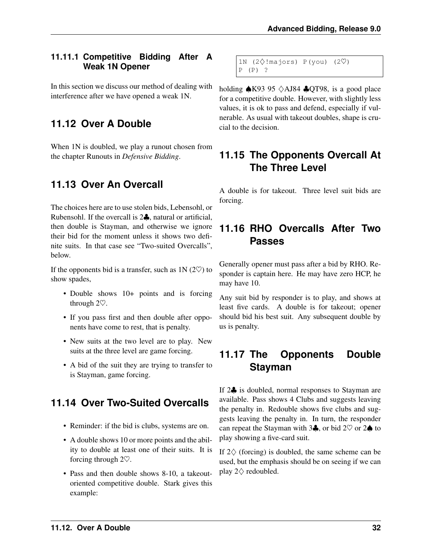#### <span id="page-35-0"></span>**11.11.1 Competitive Bidding After A Weak 1N Opener**

In this section we discuss our method of dealing with interference after we have opened a weak 1N.

#### <span id="page-35-1"></span>**11.12 Over A Double**

When 1N is doubled, we play a runout chosen from the chapter Runouts in *Defensive Bidding*.

#### <span id="page-35-2"></span>**11.13 Over An Overcall**

The choices here are to use stolen bids, Lebensohl, or Rubensohl. If the overcall is 2♣, natural or artificial, then double is Stayman, and otherwise we ignore their bid for the moment unless it shows two definite suits. In that case see "Two-suited Overcalls", below.

If the opponents bid is a transfer, such as  $1N(2\heartsuit)$  to show spades,

- Double shows 10+ points and is forcing through 2♡.
- If you pass first and then double after opponents have come to rest, that is penalty.
- New suits at the two level are to play. New suits at the three level are game forcing.
- A bid of the suit they are trying to transfer to is Stayman, game forcing.

#### <span id="page-35-3"></span>**11.14 Over Two-Suited Overcalls**

- Reminder: if the bid is clubs, systems are on.
- A double shows 10 or more points and the ability to double at least one of their suits. It is forcing through 2♡.
- Pass and then double shows 8-10, a takeoutoriented competitive double. Stark gives this example:

```
1N (2\diamond!majors) P(you) (2\heartsuit)P (P) ?
```
holding  $\triangle$ K93 95  $\triangle$ AJ84  $\triangle$ QT98, is a good place for a competitive double. However, with slightly less values, it is ok to pass and defend, especially if vulnerable. As usual with takeout doubles, shape is crucial to the decision.

## <span id="page-35-4"></span>**11.15 The Opponents Overcall At The Three Level**

A double is for takeout. Three level suit bids are forcing.

#### <span id="page-35-5"></span>**11.16 RHO Overcalls After Two Passes**

Generally opener must pass after a bid by RHO. Responder is captain here. He may have zero HCP, he may have 10.

Any suit bid by responder is to play, and shows at least five cards. A double is for takeout; opener should bid his best suit. Any subsequent double by us is penalty.

#### <span id="page-35-6"></span>**11.17 The Opponents Double Stayman**

If 2<sup> $\bullet$ </sup> is doubled, normal responses to Stayman are available. Pass shows 4 Clubs and suggests leaving the penalty in. Redouble shows five clubs and suggests leaving the penalty in. In turn, the responder can repeat the Stayman with 3 $\clubsuit$ , or bid 2 $\heartsuit$  or 2 $\spadesuit$  to play showing a five-card suit.

If  $2\diamondsuit$  (forcing) is doubled, the same scheme can be used, but the emphasis should be on seeing if we can play  $2\diamondsuit$  redoubled.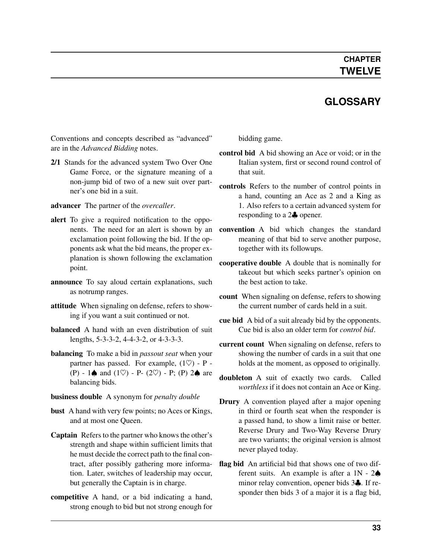#### **GLOSSARY**

<span id="page-36-7"></span><span id="page-36-0"></span>Conventions and concepts described as "advanced" are in the *Advanced Bidding* notes.

- <span id="page-36-2"></span>2/1 Stands for the advanced system Two Over One Game Force, or the signature meaning of a non-jump bid of two of a new suit over partner's one bid in a suit.
- <span id="page-36-4"></span>advancer The partner of the *[overcaller](#page-37-2)*.
- alert To give a required notification to the opponents. The need for an alert is shown by an exclamation point following the bid. If the opponents ask what the bid means, the proper explanation is shown following the exclamation point.
- announce To say aloud certain explanations, such as notrump ranges.
- attitude When signaling on defense, refers to showing if you want a suit continued or not.
- **balanced** A hand with an even distribution of suit lengths, 5-3-3-2, 4-4-3-2, or 4-3-3-3.
- <span id="page-36-5"></span>balancing To make a bid in *[passout seat](#page-37-3)* when your partner has passed. For example,  $(1 \heartsuit)$  - P -(P) - 1 $\spadesuit$  and (1 $\heartsuit$ ) - P- (2 $\heartsuit$ ) - P; (P) 2 $\spadesuit$  are balancing bids.

#### business double A synonym for *[penalty double](#page-37-4)*

- <span id="page-36-6"></span>bust A hand with very few points; no Aces or Kings, and at most one Queen.
- Captain Refers to the partner who knows the other's strength and shape within sufficient limits that he must decide the correct path to the final contract, after possibly gathering more information. Later, switches of leadership may occur, but generally the Captain is in charge.
- competitive A hand, or a bid indicating a hand, strong enough to bid but not strong enough for

<span id="page-36-3"></span>bidding game.

- control bid A bid showing an Ace or void; or in the Italian system, first or second round control of that suit.
- controls Refers to the number of control points in a hand, counting an Ace as 2 and a King as 1. Also refers to a certain advanced system for responding to a 2♣ opener.
- convention A bid which changes the standard meaning of that bid to serve another purpose, together with its followups.
- cooperative double A double that is nominally for takeout but which seeks partner's opinion on the best action to take.
- count When signaling on defense, refers to showing the current number of cards held in a suit.
- cue bid A bid of a suit already bid by the opponents. Cue bid is also an older term for *[control bid](#page-36-3)*.
- current count When signaling on defense, refers to showing the number of cards in a suit that one holds at the moment, as opposed to originally.
- doubleton A suit of exactly two cards. Called *worthless* if it does not contain an Ace or King.
- Drury A convention played after a major opening in third or fourth seat when the responder is a passed hand, to show a limit raise or better. Reverse Drury and Two-Way Reverse Drury are two variants; the original version is almost never played today.
- <span id="page-36-1"></span>flag bid An artificial bid that shows one of two different suits. An example is after a  $1N - 2\spadesuit$ minor relay convention, opener bids 3♣. If responder then bids 3 of a major it is a flag bid,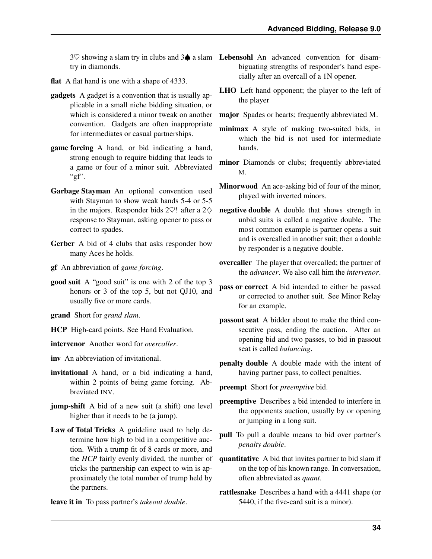try in diamonds.

- flat A flat hand is one with a shape of 4333.
- <span id="page-37-0"></span>gadgets A gadget is a convention that is usually applicable in a small niche bidding situation, or which is considered a minor tweak on another convention. Gadgets are often inappropriate for intermediates or casual partnerships.
- <span id="page-37-5"></span>game forcing A hand, or bid indicating a hand, strong enough to require bidding that leads to a game or four of a minor suit. Abbreviated " $gf$ ".
- Garbage Stayman An optional convention used with Stayman to show weak hands 5-4 or 5-5 in the majors. Responder bids 2 $\heartsuit$ ! after a 2 $\diamondsuit$ response to Stayman, asking opener to pass or correct to spades.
- Gerber A bid of 4 clubs that asks responder how many Aces he holds.
- <span id="page-37-2"></span>gf An abbreviation of *[game forcing](#page-37-5)*.
- <span id="page-37-1"></span>good suit A "good suit" is one with 2 of the top 3 honors or 3 of the top 5, but not QJ10, and usually five or more cards.
- <span id="page-37-3"></span>grand Short for *grand slam*.
- <span id="page-37-6"></span>HCP High-card points. See Hand Evaluation.
- <span id="page-37-7"></span>intervenor Another word for *[overcaller](#page-37-2)*.

<span id="page-37-4"></span>inv An abbreviation of invitational.

- invitational A hand, or a bid indicating a hand, within 2 points of being game forcing. Abbreviated INV.
- <span id="page-37-8"></span>jump-shift A bid of a new suit (a shift) one level higher than it needs to be (a jump).
- Law of Total Tricks A guideline used to help determine how high to bid in a competitive auction. With a trump fit of 8 cards or more, and the *[HCP](#page-37-6)* fairly evenly divided, the number of tricks the partnership can expect to win is approximately the total number of trump held by the partners.
- leave it in To pass partner's *[takeout double](#page-38-4)*.
- <span id="page-37-10"></span><span id="page-37-9"></span> $3\heartsuit$  showing a slam try in clubs and  $3\spadesuit$  a slam Lebensohl An advanced convention for disambiguating strengths of responder's hand especially after an overcall of a 1N opener.
	- LHO Left hand opponent; the player to the left of the player
	- major Spades or hearts; frequently abbreviated M.
	- minimax A style of making two-suited bids, in which the bid is not used for intermediate hands.
	- minor Diamonds or clubs; frequently abbreviated M.
	- Minorwood An ace-asking bid of four of the minor, played with inverted minors.
	- negative double A double that shows strength in unbid suits is called a negative double. The most common example is partner opens a suit and is overcalled in another suit; then a double by responder is a negative double.
	- overcaller The player that overcalled; the partner of the *[advancer](#page-36-4)*. We also call him the *[intervenor](#page-37-7)*.
	- pass or correct A bid intended to either be passed or corrected to another suit. See Minor Relay for an example.
	- passout seat A bidder about to make the third consecutive pass, ending the auction. After an opening bid and two passes, to bid in passout seat is called *[balancing](#page-36-5)*.
	- penalty double A double made with the intent of having partner pass, to collect penalties.
	- preempt Short for *[preemptive](#page-37-8)* bid.
	- preemptive Describes a bid intended to interfere in the opponents auction, usually by or opening or jumping in a long suit.
	- pull To pull a double means to bid over partner's *[penalty double](#page-37-4)*.
	- quantitative A bid that invites partner to bid slam if on the top of his known range. In conversation, often abbreviated as *quant*.
	- rattlesnake Describes a hand with a 4441 shape (or 5440, if the five-card suit is a minor).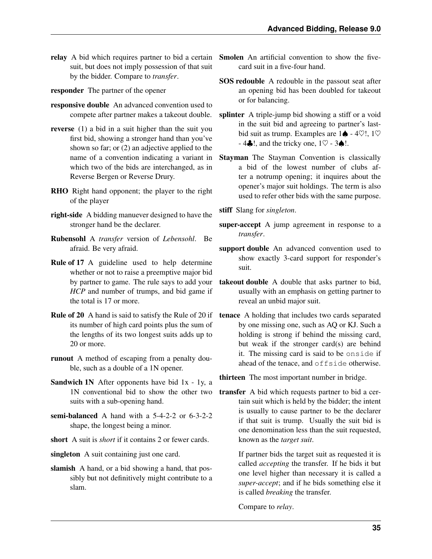- suit, but does not imply possession of that suit by the bidder. Compare to *[transfer](#page-38-0)*.
- responder The partner of the opener
- responsive double An advanced convention used to
- reverse (1) a bid in a suit higher than the suit you first bid, showing a stronger hand than you've shown so far; or (2) an adjective applied to the name of a convention indicating a variant in which two of the bids are interchanged, as in Reverse Bergen or Reverse Drury.
- RHO Right hand opponent; the player to the right of the player
- <span id="page-38-2"></span>right-side A bidding manuever designed to have the stronger hand be the declarer.
- Rubensohl A *[transfer](#page-38-0)* version of *[Lebensohl](#page-37-9)*. Be afraid. Be very afraid.
- Rule of 17 A guideline used to help determine whether or not to raise a preemptive major bid by partner to game. The rule says to add your *[HCP](#page-37-6)* and number of trumps, and bid game if the total is 17 or more.
- Rule of 20 A hand is said to satisfy the Rule of 20 if its number of high card points plus the sum of the lengths of its two longest suits adds up to 20 or more.
- <span id="page-38-3"></span>runout A method of escaping from a penalty double, such as a double of a 1N opener.
- Sandwich 1N After opponents have bid 1x 1y, a 1N conventional bid to show the other two suits with a sub-opening hand.
- semi-balanced A hand with a 5-4-2-2 or 6-3-2-2 shape, the longest being a minor.
- short A suit is *short* if it contains 2 or fewer cards.
- <span id="page-38-5"></span>singleton A suit containing just one card.
- slamish A hand, or a bid showing a hand, that possibly but not definitively might contribute to a slam.
- <span id="page-38-6"></span><span id="page-38-1"></span>relay A bid which requires partner to bid a certain Smolen An artificial convention to show the fivecard suit in a five-four hand.
	- SOS redouble A redouble in the passout seat after an opening bid has been doubled for takeout or for balancing.
	- compete after partner makes a takeout double. splinter A triple-jump bid showing a stiff or a void in the suit bid and agreeing to partner's lastbid suit as trump. Examples are  $1\spadesuit$  - 4 $\heartsuit$ !, 1 $\heartsuit$  $-4$ . 4.  $\ldots$  and the tricky one,  $1\heartsuit - 3\spadesuit$ !.
		- Stayman The Stayman Convention is classically a bid of the lowest number of clubs after a notrump opening; it inquires about the opener's major suit holdings. The term is also used to refer other bids with the same purpose.
		- stiff Slang for *[singleton](#page-38-5)*.
		- super-accept A jump agreement in response to a *[transfer](#page-38-0)*.
		- support double An advanced convention used to show exactly 3-card support for responder's suit.
		- takeout double A double that asks partner to bid, usually with an emphasis on getting partner to reveal an unbid major suit.
		- tenace A holding that includes two cards separated by one missing one, such as AQ or KJ. Such a holding is strong if behind the missing card, but weak if the stronger card(s) are behind it. The missing card is said to be onside if ahead of the tenace, and offside otherwise.

<span id="page-38-4"></span>thirteen The most important number in bridge.

<span id="page-38-0"></span>transfer A bid which requests partner to bid a certain suit which is held by the bidder; the intent is usually to cause partner to be the declarer if that suit is trump. Usually the suit bid is one denomination less than the suit requested, known as the *target suit*.

> If partner bids the target suit as requested it is called *accepting* the transfer. If he bids it but one level higher than necessary it is called a *super-accept*; and if he bids something else it is called *breaking* the transfer.

Compare to *[relay](#page-38-1)*.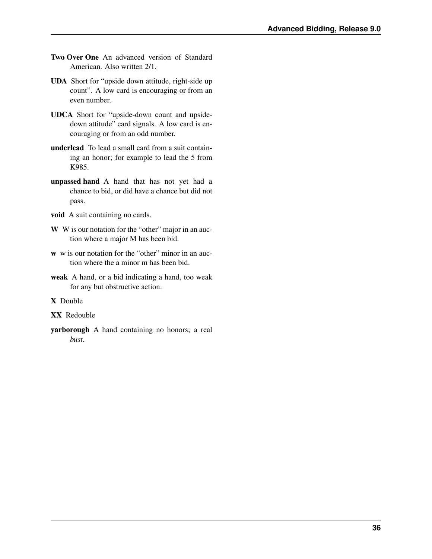- <span id="page-39-0"></span>Two Over One An advanced version of Standard American. Also written 2/1.
- UDA Short for "upside down attitude, right-side up count". A low card is encouraging or from an even number.
- UDCA Short for "upside-down count and upsidedown attitude" card signals. A low card is encouraging or from an odd number.
- underlead To lead a small card from a suit containing an honor; for example to lead the 5 from K985.
- unpassed hand A hand that has not yet had a chance to bid, or did have a chance but did not pass.
- void A suit containing no cards.
- W W is our notation for the "other" major in an auction where a major M has been bid.
- w w is our notation for the "other" minor in an auction where the a minor m has been bid.
- weak A hand, or a bid indicating a hand, too weak for any but obstructive action.

X Double

- XX Redouble
- yarborough A hand containing no honors; a real *[bust](#page-36-6)*.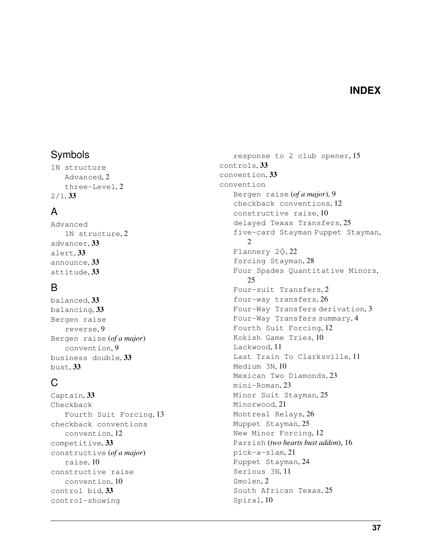#### **INDEX**

#### <span id="page-40-0"></span>Symbols

1N structure Advanced, [2](#page-5-5) three-Level, [2](#page-5-5) 2/1, [33](#page-36-7)

#### A

Advanced 1N structure, [2](#page-5-5) advancer, [33](#page-36-7) alert, [33](#page-36-7) announce, [33](#page-36-7) attitude, [33](#page-36-7)

#### B

balanced, [33](#page-36-7) balancing, [33](#page-36-7) Bergen raise reverse, [9](#page-12-4) Bergen raise (*of a major*) convention, [9](#page-12-4) business double, [33](#page-36-7) bust, [33](#page-36-7)

## C

Captain, [33](#page-36-7) Checkback Fourth Suit Forcing, [13](#page-16-4) checkback conventions convention, [12](#page-15-4) competitive, [33](#page-36-7) constructive (*of a major*) raise, [10](#page-13-3) constructive raise convention, [10](#page-13-3) control bid, [33](#page-36-7) control-showing

response to 2 club opener, [15](#page-18-3) controls, [33](#page-36-7) convention, [33](#page-36-7) convention Bergen raise (*of a major*), [9](#page-12-4) checkback conventions, [12](#page-15-4) constructive raise, [10](#page-13-3) delayed Texas Transfers, [25](#page-28-4) five-card Stayman Puppet Stayman, [2](#page-5-5) Flannery 2♢, [22](#page-25-2) forcing Stayman, [28](#page-31-2) Four Spades Quantitative Minors, [25](#page-28-4) Four-suit Transfers, [2](#page-5-5) four-way transfers, [26](#page-29-3) Four-Way Transfers derivation, [3](#page-6-3) Four-Way Transfers summary, [4](#page-7-2) Fourth Suit Forcing, [12](#page-15-4) Kokish Game Tries, [10](#page-13-3) Lackwood, [11](#page-14-3) Last Train To Clarksville, [11](#page-14-3) Medium 3N, [10](#page-13-3) Mexican Two Diamonds, [23](#page-26-3) mini-Roman, [23](#page-26-3) Minor Suit Stayman, [25](#page-28-4) Minorwood, [21](#page-24-4) Montreal Relays, [26](#page-29-3) Muppet Stayman, [25](#page-28-4) New Minor Forcing, [12](#page-15-4) Parrish (*two hearts bust addon*), [16](#page-19-4) pick-a-slam, [21](#page-24-4) Puppet Stayman, [24](#page-27-4) Serious 3N, [11](#page-14-3) Smolen, [2](#page-5-5) South African Texas, [25](#page-28-4) Spiral, [10](#page-13-3)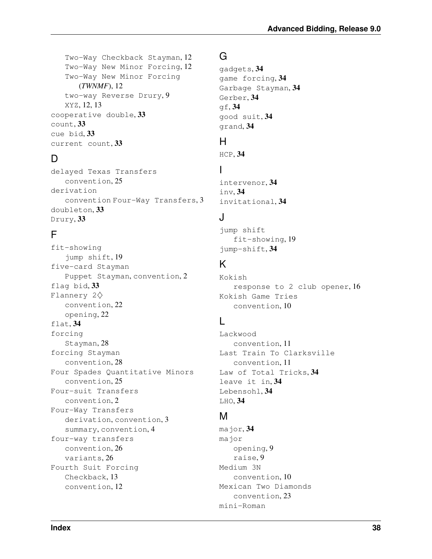Two-Way Checkback Stayman, [12](#page-15-4) Two-Way New Minor Forcing, [12](#page-15-4) Two-Way New Minor Forcing (*TWNMF*), [12](#page-15-4) two-way Reverse Drury, [9](#page-12-4) XYZ, [12,](#page-15-4) [13](#page-16-4) cooperative double, [33](#page-36-7) count, [33](#page-36-7) cue bid, [33](#page-36-7) current count, [33](#page-36-7)

## D

delayed Texas Transfers convention, [25](#page-28-4) derivation convention Four-Way Transfers, [3](#page-6-3) doubleton, [33](#page-36-7) Drury, [33](#page-36-7)

## F

fit-showing jump shift, [19](#page-22-1) five-card Stayman Puppet Stayman, convention, [2](#page-5-5) flag bid, [33](#page-36-7) Flannery 2♢ convention, [22](#page-25-2) opening, [22](#page-25-2) flat, [34](#page-37-10) forcing Stayman, [28](#page-31-2) forcing Stayman convention, [28](#page-31-2) Four Spades Quantitative Minors convention, [25](#page-28-4) Four-suit Transfers convention, [2](#page-5-5) Four-Way Transfers derivation, convention, [3](#page-6-3) summary, convention, [4](#page-7-2) four-way transfers convention, [26](#page-29-3) variants, [26](#page-29-3) Fourth Suit Forcing Checkback, [13](#page-16-4) convention, [12](#page-15-4)

## G

```
gadgets, 34
game forcing, 34
Garbage Stayman, 34
Gerber, 34
34good suit, 34
grand, 34
```
#### H

HCP, [34](#page-37-10)

#### I

intervenor, [34](#page-37-10) inv, [34](#page-37-10) invitational, [34](#page-37-10)

#### J

jump shift fit-showing, [19](#page-22-1) jump-shift, [34](#page-37-10)

## K

Kokish response to 2 club opener, [16](#page-19-4) Kokish Game Tries convention, [10](#page-13-3)

## L

Lackwood convention, [11](#page-14-3) Last Train To Clarksville convention, [11](#page-14-3) Law of Total Tricks, [34](#page-37-10) leave it in, [34](#page-37-10) Lebensohl, [34](#page-37-10) LHO, [34](#page-37-10)

#### M

major, [34](#page-37-10) major opening, [9](#page-12-4) raise, [9](#page-12-4) Medium 3N convention, [10](#page-13-3) Mexican Two Diamonds convention, [23](#page-26-3) mini-Roman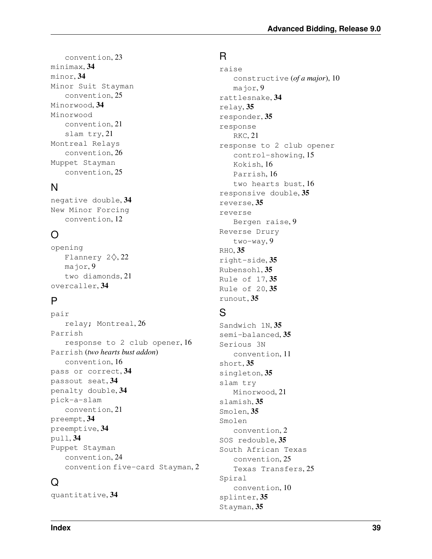convention, [23](#page-26-3) minimax, [34](#page-37-10) minor, [34](#page-37-10) Minor Suit Stayman convention, [25](#page-28-4) Minorwood, [34](#page-37-10) Minorwood convention, [21](#page-24-4) slam try, [21](#page-24-4) Montreal Relays convention, [26](#page-29-3) Muppet Stayman convention, [25](#page-28-4)

## N

negative double, [34](#page-37-10) New Minor Forcing convention, [12](#page-15-4)

## O

opening Flannery  $2\diamondsuit$ , [22](#page-25-2) major, [9](#page-12-4) two diamonds, [21](#page-24-4) overcaller, [34](#page-37-10)

## P

pair relay; Montreal, [26](#page-29-3) Parrish response to 2 club opener, [16](#page-19-4) Parrish (*two hearts bust addon*) convention, [16](#page-19-4) pass or correct, [34](#page-37-10) passout seat, [34](#page-37-10) penalty double, [34](#page-37-10) pick-a-slam convention, [21](#page-24-4) preempt, [34](#page-37-10) preemptive, [34](#page-37-10) pull, [34](#page-37-10) Puppet Stayman convention, [24](#page-27-4) convention five-card Stayman, [2](#page-5-5)

#### $\Omega$

quantitative, [34](#page-37-10)

#### R

raise constructive (*of a major*), [10](#page-13-3) major, [9](#page-12-4) rattlesnake, [34](#page-37-10) relay, [35](#page-38-6) responder, [35](#page-38-6) response RKC, [21](#page-24-4) response to 2 club opener control-showing, [15](#page-18-3) Kokish, [16](#page-19-4) Parrish, [16](#page-19-4) two hearts bust, [16](#page-19-4) responsive double, [35](#page-38-6) reverse, [35](#page-38-6) reverse Bergen raise, [9](#page-12-4) Reverse Drury two-way, [9](#page-12-4) RHO, [35](#page-38-6) right-side, [35](#page-38-6) Rubensohl, [35](#page-38-6) Rule of 17, [35](#page-38-6) Rule of 20, [35](#page-38-6) runout, [35](#page-38-6)

## S

Sandwich 1N, [35](#page-38-6) semi-balanced, [35](#page-38-6) Serious 3N convention, [11](#page-14-3) short, [35](#page-38-6) singleton, [35](#page-38-6) slam try Minorwood, [21](#page-24-4) slamish, [35](#page-38-6) Smolen, [35](#page-38-6) Smolen convention, [2](#page-5-5) SOS redouble, [35](#page-38-6) South African Texas convention, [25](#page-28-4) Texas Transfers, [25](#page-28-4) Spiral convention, [10](#page-13-3) splinter, [35](#page-38-6) Stayman, [35](#page-38-6)